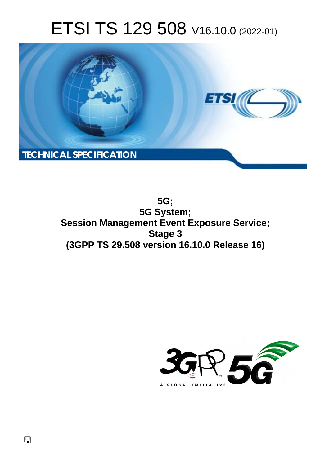# ETSI TS 129 508 V16.10.0 (2022-01)



**5G; 5G System; Session Management Event Exposure Service; Stage 3 (3GPP TS 29.508 version 16.10.0 Release 16)** 

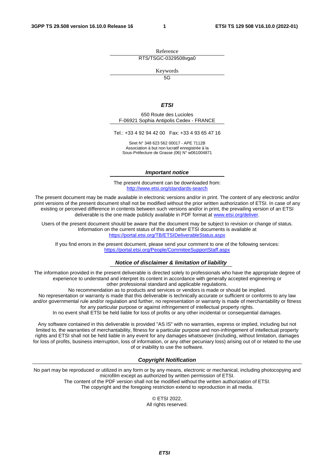Reference RTS/TSGC-0329508vga0

Keywords

 $\overline{5G}$ 

#### *ETSI*

650 Route des Lucioles F-06921 Sophia Antipolis Cedex - FRANCE

Tel.: +33 4 92 94 42 00 Fax: +33 4 93 65 47 16

Siret N° 348 623 562 00017 - APE 7112B Association à but non lucratif enregistrée à la Sous-Préfecture de Grasse (06) N° w061004871

#### *Important notice*

The present document can be downloaded from: <http://www.etsi.org/standards-search>

The present document may be made available in electronic versions and/or in print. The content of any electronic and/or print versions of the present document shall not be modified without the prior written authorization of ETSI. In case of any existing or perceived difference in contents between such versions and/or in print, the prevailing version of an ETSI deliverable is the one made publicly available in PDF format at [www.etsi.org/deliver](http://www.etsi.org/deliver).

Users of the present document should be aware that the document may be subject to revision or change of status. Information on the current status of this and other ETSI documents is available at <https://portal.etsi.org/TB/ETSIDeliverableStatus.aspx>

If you find errors in the present document, please send your comment to one of the following services: <https://portal.etsi.org/People/CommiteeSupportStaff.aspx>

#### *Notice of disclaimer & limitation of liability*

The information provided in the present deliverable is directed solely to professionals who have the appropriate degree of experience to understand and interpret its content in accordance with generally accepted engineering or other professional standard and applicable regulations.

No recommendation as to products and services or vendors is made or should be implied.

No representation or warranty is made that this deliverable is technically accurate or sufficient or conforms to any law and/or governmental rule and/or regulation and further, no representation or warranty is made of merchantability or fitness for any particular purpose or against infringement of intellectual property rights.

In no event shall ETSI be held liable for loss of profits or any other incidental or consequential damages.

Any software contained in this deliverable is provided "AS IS" with no warranties, express or implied, including but not limited to, the warranties of merchantability, fitness for a particular purpose and non-infringement of intellectual property rights and ETSI shall not be held liable in any event for any damages whatsoever (including, without limitation, damages for loss of profits, business interruption, loss of information, or any other pecuniary loss) arising out of or related to the use of or inability to use the software.

#### *Copyright Notification*

No part may be reproduced or utilized in any form or by any means, electronic or mechanical, including photocopying and microfilm except as authorized by written permission of ETSI. The content of the PDF version shall not be modified without the written authorization of ETSI.

The copyright and the foregoing restriction extend to reproduction in all media.

© ETSI 2022. All rights reserved.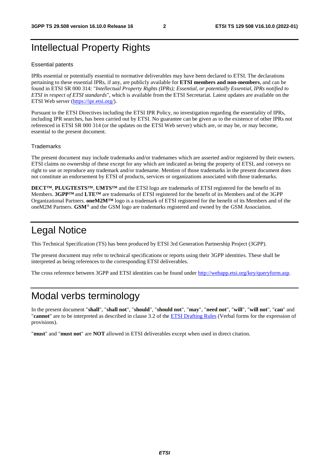## Intellectual Property Rights

#### Essential patents

IPRs essential or potentially essential to normative deliverables may have been declared to ETSI. The declarations pertaining to these essential IPRs, if any, are publicly available for **ETSI members and non-members**, and can be found in ETSI SR 000 314: *"Intellectual Property Rights (IPRs); Essential, or potentially Essential, IPRs notified to ETSI in respect of ETSI standards"*, which is available from the ETSI Secretariat. Latest updates are available on the ETSI Web server ([https://ipr.etsi.org/\)](https://ipr.etsi.org/).

Pursuant to the ETSI Directives including the ETSI IPR Policy, no investigation regarding the essentiality of IPRs, including IPR searches, has been carried out by ETSI. No guarantee can be given as to the existence of other IPRs not referenced in ETSI SR 000 314 (or the updates on the ETSI Web server) which are, or may be, or may become, essential to the present document.

#### **Trademarks**

The present document may include trademarks and/or tradenames which are asserted and/or registered by their owners. ETSI claims no ownership of these except for any which are indicated as being the property of ETSI, and conveys no right to use or reproduce any trademark and/or tradename. Mention of those trademarks in the present document does not constitute an endorsement by ETSI of products, services or organizations associated with those trademarks.

**DECT™**, **PLUGTESTS™**, **UMTS™** and the ETSI logo are trademarks of ETSI registered for the benefit of its Members. **3GPP™** and **LTE™** are trademarks of ETSI registered for the benefit of its Members and of the 3GPP Organizational Partners. **oneM2M™** logo is a trademark of ETSI registered for the benefit of its Members and of the oneM2M Partners. **GSM**® and the GSM logo are trademarks registered and owned by the GSM Association.

## Legal Notice

This Technical Specification (TS) has been produced by ETSI 3rd Generation Partnership Project (3GPP).

The present document may refer to technical specifications or reports using their 3GPP identities. These shall be interpreted as being references to the corresponding ETSI deliverables.

The cross reference between 3GPP and ETSI identities can be found under<http://webapp.etsi.org/key/queryform.asp>.

## Modal verbs terminology

In the present document "**shall**", "**shall not**", "**should**", "**should not**", "**may**", "**need not**", "**will**", "**will not**", "**can**" and "**cannot**" are to be interpreted as described in clause 3.2 of the [ETSI Drafting Rules](https://portal.etsi.org/Services/editHelp!/Howtostart/ETSIDraftingRules.aspx) (Verbal forms for the expression of provisions).

"**must**" and "**must not**" are **NOT** allowed in ETSI deliverables except when used in direct citation.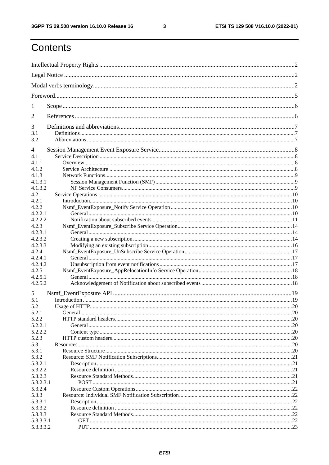$\mathbf{3}$ 

# Contents

| 1              |  |
|----------------|--|
| $\overline{2}$ |  |
| 3              |  |
| 3.1<br>3.2     |  |
| 4              |  |
| 4.1            |  |
| 4.1.1          |  |
| 4.1.2          |  |
| 4.1.3          |  |
| 4.1.3.1        |  |
| 4.1.3.2        |  |
| 4.2            |  |
| 4.2.1          |  |
| 4.2.2          |  |
| 4.2.2.1        |  |
| 4.2.2.2        |  |
| 4.2.3          |  |
| 4.2.3.1        |  |
|                |  |
| 4.2.3.2        |  |
| 4.2.3.3        |  |
| 4.2.4          |  |
| 4.2.4.1        |  |
| 4.2.4.2        |  |
| 4.2.5          |  |
| 4.2.5.1        |  |
| 4.2.5.2        |  |
| 5              |  |
| 5.1            |  |
| 5.2            |  |
| 5.2.1          |  |
| 5.2.2          |  |
| 5.2.2.1        |  |
| 5.2.2.2        |  |
| 5.2.3          |  |
| 5.3            |  |
| 5.3.1          |  |
| 5.3.2          |  |
| 5.3.2.1        |  |
| 5.3.2.2        |  |
| 5.3.2.3        |  |
| 5.3.2.3.1      |  |
| 5.3.2.4        |  |
| 5.3.3          |  |
| 5.3.3.1        |  |
| 5.3.3.2        |  |
| 5.3.3.3        |  |
|                |  |
| 5.3.3.3.1      |  |
| 5.3.3.3.2      |  |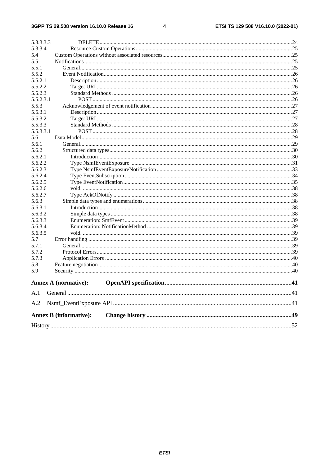#### $\overline{\mathbf{4}}$

| 5.3.3.3.3 |                               |  |  |  |  |  |  |  |  |
|-----------|-------------------------------|--|--|--|--|--|--|--|--|
| 5.3.3.4   |                               |  |  |  |  |  |  |  |  |
| 5.4       |                               |  |  |  |  |  |  |  |  |
| 5.5       |                               |  |  |  |  |  |  |  |  |
| 5.5.1     |                               |  |  |  |  |  |  |  |  |
| 5.5.2     |                               |  |  |  |  |  |  |  |  |
| 5.5.2.1   |                               |  |  |  |  |  |  |  |  |
| 5.5.2.2   |                               |  |  |  |  |  |  |  |  |
| 5.5.2.3   |                               |  |  |  |  |  |  |  |  |
| 5.5.2.3.1 |                               |  |  |  |  |  |  |  |  |
| 5.5.3     |                               |  |  |  |  |  |  |  |  |
| 5.5.3.1   |                               |  |  |  |  |  |  |  |  |
| 5.5.3.2   |                               |  |  |  |  |  |  |  |  |
| 5.5.3.3   |                               |  |  |  |  |  |  |  |  |
| 5.5.3.3.1 |                               |  |  |  |  |  |  |  |  |
| 5.6       |                               |  |  |  |  |  |  |  |  |
| 5.6.1     |                               |  |  |  |  |  |  |  |  |
| 5.6.2     |                               |  |  |  |  |  |  |  |  |
| 5.6.2.1   |                               |  |  |  |  |  |  |  |  |
| 5.6.2.2   |                               |  |  |  |  |  |  |  |  |
| 5.6.2.3   |                               |  |  |  |  |  |  |  |  |
| 5.6.2.4   |                               |  |  |  |  |  |  |  |  |
| 5.6.2.5   |                               |  |  |  |  |  |  |  |  |
| 5.6.2.6   |                               |  |  |  |  |  |  |  |  |
| 5.6.2.7   |                               |  |  |  |  |  |  |  |  |
| 5.6.3     |                               |  |  |  |  |  |  |  |  |
| 5.6.3.1   |                               |  |  |  |  |  |  |  |  |
| 5.6.3.2   |                               |  |  |  |  |  |  |  |  |
| 5.6.3.3   |                               |  |  |  |  |  |  |  |  |
| 5.6.3.4   |                               |  |  |  |  |  |  |  |  |
| 5.6.3.5   |                               |  |  |  |  |  |  |  |  |
| 5.7       |                               |  |  |  |  |  |  |  |  |
| 5.7.1     |                               |  |  |  |  |  |  |  |  |
| 5.7.2     |                               |  |  |  |  |  |  |  |  |
| 5.7.3     |                               |  |  |  |  |  |  |  |  |
| 5.8       |                               |  |  |  |  |  |  |  |  |
| 5.9       |                               |  |  |  |  |  |  |  |  |
|           |                               |  |  |  |  |  |  |  |  |
|           | <b>Annex A (normative):</b>   |  |  |  |  |  |  |  |  |
| A.1       |                               |  |  |  |  |  |  |  |  |
| A.2       |                               |  |  |  |  |  |  |  |  |
|           | <b>Annex B</b> (informative): |  |  |  |  |  |  |  |  |
|           |                               |  |  |  |  |  |  |  |  |
|           |                               |  |  |  |  |  |  |  |  |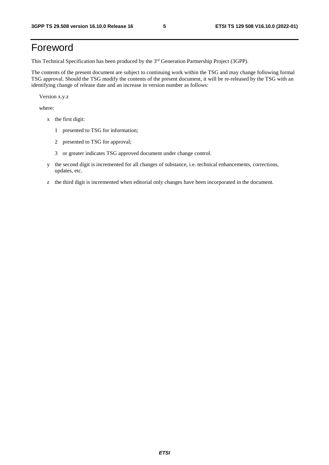## Foreword

This Technical Specification has been produced by the 3<sup>rd</sup> Generation Partnership Project (3GPP).

The contents of the present document are subject to continuing work within the TSG and may change following formal TSG approval. Should the TSG modify the contents of the present document, it will be re-released by the TSG with an identifying change of release date and an increase in version number as follows:

Version x.y.z

where:

- x the first digit:
	- 1 presented to TSG for information;
	- 2 presented to TSG for approval;
	- 3 or greater indicates TSG approved document under change control.
- y the second digit is incremented for all changes of substance, i.e. technical enhancements, corrections, updates, etc.
- z the third digit is incremented when editorial only changes have been incorporated in the document.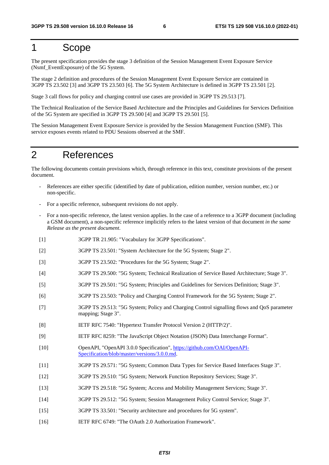### 1 Scope

The present specification provides the stage 3 definition of the Session Management Event Exposure Service (Nsmf\_EventExposure) of the 5G System.

The stage 2 definition and procedures of the Session Management Event Exposure Service are contained in 3GPP TS 23.502 [3] and 3GPP TS 23.503 [6]. The 5G System Architecture is defined in 3GPP TS 23.501 [2].

Stage 3 call flows for policy and charging control use cases are provided in 3GPP TS 29.513 [7].

The Technical Realization of the Service Based Architecture and the Principles and Guidelines for Services Definition of the 5G System are specified in 3GPP TS 29.500 [4] and 3GPP TS 29.501 [5].

The Session Management Event Exposure Service is provided by the Session Management Function (SMF). This service exposes events related to PDU Sessions observed at the SMF.

### 2 References

The following documents contain provisions which, through reference in this text, constitute provisions of the present document.

- References are either specific (identified by date of publication, edition number, version number, etc.) or non-specific.
- For a specific reference, subsequent revisions do not apply.
- For a non-specific reference, the latest version applies. In the case of a reference to a 3GPP document (including a GSM document), a non-specific reference implicitly refers to the latest version of that document *in the same Release as the present document*.
- [1] 3GPP TR 21.905: "Vocabulary for 3GPP Specifications".
- [2] 3GPP TS 23.501: "System Architecture for the 5G System; Stage 2".
- [3] 3GPP TS 23.502: "Procedures for the 5G System; Stage 2".
- [4] 3GPP TS 29.500: "5G System; Technical Realization of Service Based Architecture; Stage 3".
- [5] 3GPP TS 29.501: "5G System; Principles and Guidelines for Services Definition; Stage 3".
- [6] 3GPP TS 23.503: "Policy and Charging Control Framework for the 5G System; Stage 2".
- [7] 3GPP TS 29.513: "5G System; Policy and Charging Control signalling flows and QoS parameter mapping; Stage 3".
- [8] IETF RFC 7540: "Hypertext Transfer Protocol Version 2 (HTTP/2)".
- [9] IETF RFC 8259: "The JavaScript Object Notation (JSON) Data Interchange Format".
- [10] OpenAPI, "OpenAPI 3.0.0 Specification", [https://github.com/OAI/OpenAPI](https://github.com/OAI/OpenAPI-Specification/blob/master/versions/3.0.0.md)-[Specification/blob/master/versions/3.0.0.md](https://github.com/OAI/OpenAPI-Specification/blob/master/versions/3.0.0.md).
- [11] 3GPP TS 29.571: "5G System; Common Data Types for Service Based Interfaces Stage 3".
- [12] 3GPP TS 29.510: "5G System; Network Function Repository Services; Stage 3".
- [13] 3GPP TS 29.518: "5G System; Access and Mobility Management Services; Stage 3".
- [14] 3GPP TS 29.512: "5G System; Session Management Policy Control Service; Stage 3".
- [15] 3GPP TS 33.501: "Security architecture and procedures for 5G system".
- [16] IETF RFC 6749: "The OAuth 2.0 Authorization Framework".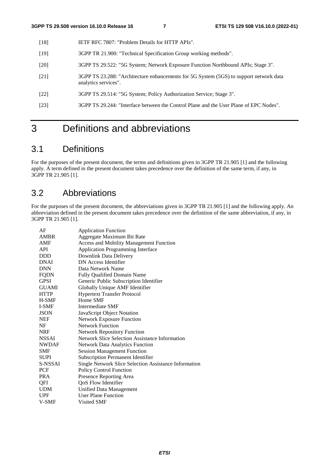- [18] IETF RFC 7807: "Problem Details for HTTP APIs".
- [19] 3GPP TR 21.900: "Technical Specification Group working methods".
- [20] 3GPP TS 29.522: "5G System; Network Exposure Function Northbound APIs; Stage 3".
- [21] 3GPP TS 23.288: "Architecture enhancements for 5G System (5GS) to support network data analytics services".
- [22] 3GPP TS 29.514: "5G System; Policy Authorization Service; Stage 3".
- [23] 3GPP TS 29.244: "Interface between the Control Plane and the User Plane of EPC Nodes".

## 3 Definitions and abbreviations

### 3.1 Definitions

For the purposes of the present document, the terms and definitions given in 3GPP TR 21.905 [1] and the following apply. A term defined in the present document takes precedence over the definition of the same term, if any, in 3GPP TR 21.905 [1].

### 3.2 Abbreviations

For the purposes of the present document, the abbreviations given in 3GPP TR 21.905 [1] and the following apply. An abbreviation defined in the present document takes precedence over the definition of the same abbreviation, if any, in 3GPP TR 21.905 [1].

| AF           | <b>Application Function</b>                           |
|--------------|-------------------------------------------------------|
| <b>AMBR</b>  | Aggregate Maximum Bit Rate                            |
| AMF          | <b>Access and Mobility Management Function</b>        |
| <b>API</b>   | <b>Application Programming Interface</b>              |
| <b>DDD</b>   | Downlink Data Delivery                                |
| <b>DNAI</b>  | DN Access Identifier                                  |
| <b>DNN</b>   | Data Network Name                                     |
| <b>FQDN</b>  | <b>Fully Qualified Domain Name</b>                    |
| <b>GPSI</b>  | Generic Public Subscription Identifier                |
| <b>GUAMI</b> | Globally Unique AMF Identifier                        |
| <b>HTTP</b>  | <b>Hypertext Transfer Protocol</b>                    |
| H-SMF        | Home SMF                                              |
| I-SMF        | Intermediate SMF                                      |
| <b>JSON</b>  | JavaScript Object Notation                            |
| <b>NEF</b>   | <b>Network Exposure Function</b>                      |
| NF           | <b>Network Function</b>                               |
| <b>NRF</b>   | <b>Network Repository Function</b>                    |
| <b>NSSAI</b> | Network Slice Selection Assistance Information        |
| <b>NWDAF</b> | <b>Network Data Analytics Function</b>                |
| <b>SMF</b>   | <b>Session Management Function</b>                    |
| <b>SUPI</b>  | <b>Subscription Permanent Identifier</b>              |
| S-NSSAI      | Single Network Slice Selection Assistance Information |
| PCF          | <b>Policy Control Function</b>                        |
| <b>PRA</b>   | Presence Reporting Area                               |
| QFI          | QoS Flow Identifier                                   |
| <b>UDM</b>   | <b>Unified Data Management</b>                        |
| <b>UPF</b>   | <b>User Plane Function</b>                            |
| V-SMF        | Visited SMF                                           |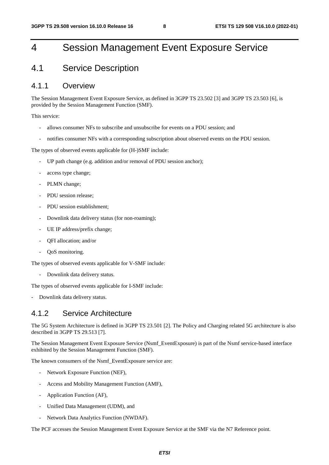## 4 Session Management Event Exposure Service

### 4.1 Service Description

#### 4.1.1 Overview

The Session Management Event Exposure Service, as defined in 3GPP TS 23.502 [3] and 3GPP TS 23.503 [6], is provided by the Session Management Function (SMF).

This service:

- allows consumer NFs to subscribe and unsubscribe for events on a PDU session; and
- notifies consumer NFs with a corresponding subscription about observed events on the PDU session.

The types of observed events applicable for (H-)SMF include:

- UP path change (e.g. addition and/or removal of PDU session anchor);
- access type change;
- PLMN change;
- PDU session release:
- PDU session establishment;
- Downlink data delivery status (for non-roaming);
- UE IP address/prefix change:
- OFI allocation; and/or
- OoS monitoring.

The types of observed events applicable for V-SMF include:

- Downlink data delivery status.

The types of observed events applicable for I-SMF include:

Downlink data delivery status.

### 4.1.2 Service Architecture

The 5G System Architecture is defined in 3GPP TS 23.501 [2]. The Policy and Charging related 5G architecture is also described in 3GPP TS 29.513 [7].

The Session Management Event Exposure Service (Nsmf\_EventExposure) is part of the Nsmf service-based interface exhibited by the Session Management Function (SMF).

The known consumers of the Nsmf\_EventExposure service are:

- Network Exposure Function (NEF),
- Access and Mobility Management Function (AMF).
- Application Function (AF),
- Unified Data Management (UDM), and
- Network Data Analytics Function (NWDAF).

The PCF accesses the Session Management Event Exposure Service at the SMF via the N7 Reference point.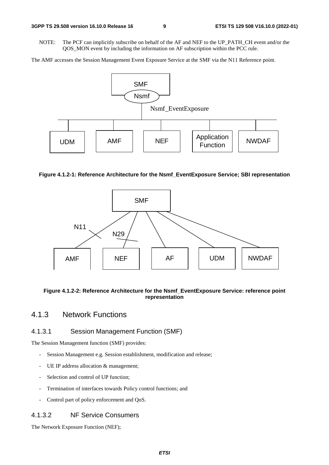NOTE: The PCF can implicitly subscribe on behalf of the AF and NEF to the UP\_PATH\_CH event and/or the QOS\_MON event by including the information on AF subscription within the PCC rule.

The AMF accesses the Session Management Event Exposure Service at the SMF via the N11 Reference point.



#### **Figure 4.1.2-1: Reference Architecture for the Nsmf\_EventExposure Service; SBI representation**



#### **Figure 4.1.2-2: Reference Architecture for the Nsmf\_EventExposure Service: reference point representation**

### 4.1.3 Network Functions

#### 4.1.3.1 Session Management Function (SMF)

The Session Management function (SMF) provides:

- Session Management e.g. Session establishment, modification and release;
- UE IP address allocation & management;
- Selection and control of UP function;
- Termination of interfaces towards Policy control functions; and
- Control part of policy enforcement and QoS.

#### 4.1.3.2 NF Service Consumers

The Network Exposure Function (NEF);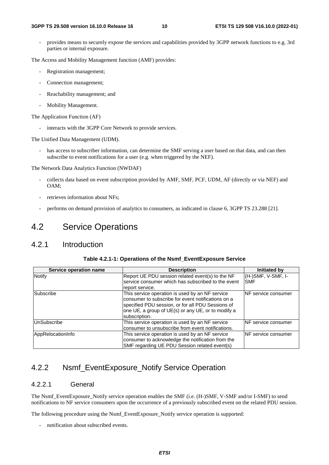provides means to securely expose the services and capabilities provided by 3GPP network functions to e.g. 3rd parties or internal exposure.

The Access and Mobility Management function (AMF) provides:

- Registration management;
- Connection management;
- Reachability management; and
- Mobility Management.

The Application Function (AF)

interacts with the 3GPP Core Network to provide services.

The Unified Data Management (UDM).

has access to subscriber information, can determine the SMF serving a user based on that data, and can then subscribe to event notifications for a user (e.g. when triggered by the NEF).

The Network Data Analytics Function (NWDAF)

- collects data based on event subscription provided by AMF, SMF, PCF, UDM, AF (directly or via NEF) and OAM;
- retrieves information about NFs;
- performs on demand provision of analytics to consumers, as indicated in clause 6, 3GPP TS 23.288 [21].

### 4.2 Service Operations

### 4.2.1 Introduction

| Service operation name | <b>Description</b>                                 | Initiated by                |
|------------------------|----------------------------------------------------|-----------------------------|
| Notify                 | Report UE PDU session related event(s) to the NF   | (H-)SMF, V-SMF, I-          |
|                        | service consumer which has subscribed to the event | <b>SMF</b>                  |
|                        | report service.                                    |                             |
| <b>Subscribe</b>       | This service operation is used by an NF service    | <b>INF</b> service consumer |
|                        | consumer to subscribe for event notifications on a |                             |
|                        | specified PDU session, or for all PDU Sessions of  |                             |
|                        | one UE, a group of UE(s) or any UE, or to modify a |                             |
|                        | subscription.                                      |                             |
| UnSubscribe            | This service operation is used by an NF service    | <b>INF</b> service consumer |
|                        | consumer to unsubscribe from event notifications.  |                             |
| AppRelocationInfo      | This service operation is used by an NF service    | INF service consumer        |
|                        | consumer to acknowledge the notification from the  |                             |
|                        | SMF regarding UE PDU Session related event(s)      |                             |

### 4.2.2 Nsmf\_EventExposure\_Notify Service Operation

### 4.2.2.1 General

The Nsmf\_EventExposure\_Notify service operation enables the SMF (i.e. (H-)SMF, V-SMF and/or I-SMF) to send notifications to NF service consumers upon the occurrence of a previously subscribed event on the related PDU session.

The following procedure using the Nsmf\_EventExposure\_Notify service operation is supported:

- notification about subscribed events.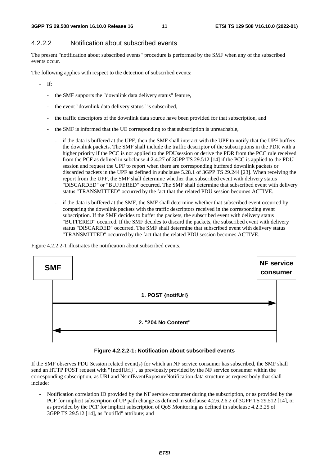### 4.2.2.2 Notification about subscribed events

The present "notification about subscribed events" procedure is performed by the SMF when any of the subscribed events occur.

The following applies with respect to the detection of subscribed events:

- If:

- the SMF supports the "downlink data delivery status" feature,
- the event "downlink data delivery status" is subscribed,
- the traffic descriptors of the downlink data source have been provided for that subscription, and
- the SMF is informed that the UE corresponding to that subscription is unreachable,
	- if the data is buffered at the UPF, then the SMF shall interact with the UPF to notify that the UPF buffers the downlink packets. The SMF shall include the traffic descriptor of the subscriptions in the PDR with a higher priority if the PCC is not applied to the PDUsession or derive the PDR from the PCC rule received from the PCF as defined in subclause 4.2.4.27 of 3GPP TS 29.512 [14] if the PCC is applied to the PDU session and request the UPF to report when there are corresponding buffered downlink packets or discarded packets in the UPF as defined in subclause 5.28.1 of 3GPP TS 29.244 [23]. When receiving the report from the UPF, the SMF shall determine whether that subscribed event with delivery status "DISCARDED" or "BUFFERED" occurred. The SMF shall determine that subscribed event with delivery status "TRANSMITTED" occurred by the fact that the related PDU session becomes ACTIVE.
	- if the data is buffered at the SMF, the SMF shall determine whether that subscribed event occurred by comparing the downlink packets with the traffic descriptors received in the corresponding event subscription. If the SMF decides to buffer the packets, the subscribed event with delivery status "BUFFERED" occurred. If the SMF decides to discard the packets, the subscribed event with delivery status "DISCARDED" occurred. The SMF shall determine that subscribed event with delivery status "TRANSMITTED" occurred by the fact that the related PDU session becomes ACTIVE.

Figure 4.2.2.2-1 illustrates the notification about subscribed events.



#### **Figure 4.2.2.2-1: Notification about subscribed events**

If the SMF observes PDU Session related event(s) for which an NF service consumer has subscribed, the SMF shall send an HTTP POST request with "{notifUri}", as previously provided by the NF service consumer within the corresponding subscription, as URI and NsmfEventExposureNotification data structure as request body that shall include:

- Notification correlation ID provided by the NF service consumer during the subscription, or as provided by the PCF for implicit subscription of UP path change as defined in subclause 4.2.6.2.6.2 of 3GPP TS 29.512 [14], or as provided by the PCF for implicit subscription of QoS Monitoring as defined in subclause 4.2.3.25 of 3GPP TS 29.512 [14], as "notifId" attribute; and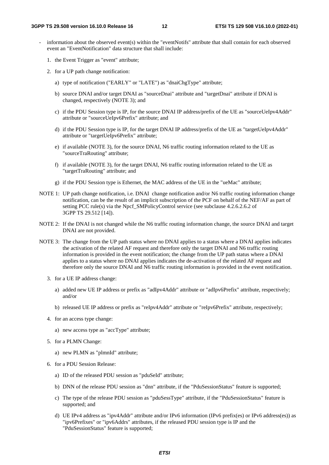- information about the observed event(s) within the "eventNotifs" attribute that shall contain for each observed event an "EventNotification" data structure that shall include:
	- 1. the Event Trigger as "event" attribute;
	- 2. for a UP path change notification:
		- a) type of notification ("EARLY" or "LATE") as "dnaiChgType" attribute;
		- b) source DNAI and/or target DNAI as "sourceDnai" attribute and "targetDnai" attribute if DNAI is changed, respectively (NOTE 3); and
		- c) if the PDU Session type is IP, for the source DNAI IP address/prefix of the UE as "sourceUeIpv4Addr" attribute or "sourceUeIpv6Prefix" attribute; and
		- d) if the PDU Session type is IP, for the target DNAI IP address/prefix of the UE as "targetUeIpv4Addr" attribute or "targetUeIpv6Prefix" attribute;
		- e) if available (NOTE 3), for the source DNAI, N6 traffic routing information related to the UE as "sourceTraRouting" attribute;
		- f) if available (NOTE 3), for the target DNAI, N6 traffic routing information related to the UE as "targetTraRouting" attribute; and
		- g) if the PDU Session type is Ethernet, the MAC address of the UE in the "ueMac" attribute;
- NOTE 1: UP path change notification, i.e. DNAI change notification and/or N6 traffic routing information change notification, can be the result of an implicit subscription of the PCF on behalf of the NEF/AF as part of setting PCC rule(s) via the Npcf\_SMPolicyControl service (see subclause 4.2.6.2.6.2 of 3GPP TS 29.512 [14]).
- NOTE 2: If the DNAI is not changed while the N6 traffic routing information change, the source DNAI and target DNAI are not provided.
- NOTE 3: The change from the UP path status where no DNAI applies to a status where a DNAI applies indicates the activation of the related AF request and therefore only the target DNAI and N6 traffic routing information is provided in the event notification; the change from the UP path status where a DNAI applies to a status where no DNAI applies indicates the de-activation of the related AF request and therefore only the source DNAI and N6 traffic routing information is provided in the event notification.
	- 3. for a UE IP address change:
		- a) added new UE IP address or prefix as "adIpv4Addr" attribute or "adIpv6Prefix" attribute, respectively; and/or
		- b) released UE IP address or prefix as "reIpv4Addr" attribute or "reIpv6Prefix" attribute, respectively;
	- 4. for an access type change:
		- a) new access type as "accType" attribute;
	- 5. for a PLMN Change:
		- a) new PLMN as "plmnId" attribute;
	- 6. for a PDU Session Release:
		- a) ID of the released PDU session as "pduSeId" attribute;
		- b) DNN of the release PDU session as "dnn" attribute, if the "PduSessionStatus" feature is supported;
		- c) The type of the release PDU session as "pduSessType" attribute, if the "PduSessionStatus" feature is supported; and
		- d) UE IPv4 address as "ipv4Addr" attribute and/or IPv6 information (IPv6 prefix(es) or IPv6 address(es)) as "ipv6Prefixes" or "ipv6Addrs" attributes, if the released PDU session type is IP and the "PduSessionStatus" feature is supported;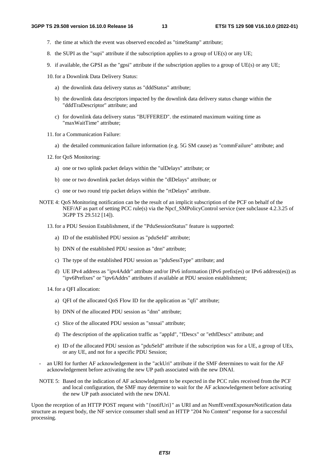- 7. the time at which the event was observed encoded as "timeStamp" attribute;
- 8. the SUPI as the "supi" attribute if the subscription applies to a group of UE(s) or any UE;
- 9. if available, the GPSI as the "gpsi" attribute if the subscription applies to a group of UE(s) or any UE;
- 10. for a Downlink Data Delivery Status:
	- a) the downlink data delivery status as "dddStatus" attribute;
	- b) the downlink data descriptors impacted by the downlink data delivery status change within the "dddTraDescriptor" attribute; and
	- c) for downlink data delivery status "BUFFERED". the estimated maximum waiting time as "maxWaitTime" attribute;
- 11. for a Communication Failure:
	- a) the detailed communication failure information (e.g. 5G SM cause) as "commFailure" attribute; and
- 12. for QoS Monitoring:
	- a) one or two uplink packet delays within the "ulDelays" attribute; or
	- b) one or two downlink packet delays within the "dlDelays" attribute; or
	- c) one or two round trip packet delays within the "rtDelays" attribute.
- NOTE 4: QoS Monitoring notification can be the result of an implicit subscription of the PCF on behalf of the NEF/AF as part of setting PCC rule(s) via the Npcf\_SMPolicyControl service (see subclause 4.2.3.25 of 3GPP TS 29.512 [14]).
	- 13. for a PDU Session Establishment, if the "PduSessionStatus" feature is supported:
		- a) ID of the established PDU session as "pduSeId" attribute;
		- b) DNN of the established PDU session as "dnn" attribute;
		- c) The type of the established PDU session as "pduSessType" attribute; and
		- d) UE IPv4 address as "ipv4Addr" attribute and/or IPv6 information (IPv6 prefix(es) or IPv6 address(es)) as "ipv6Prefixes" or "ipv6Addrs" attributes if available at PDU session establishment;
	- 14. for a QFI allocation:
		- a) QFI of the allocated QoS Flow ID for the application as "qfi" attribute;
		- b) DNN of the allocated PDU session as "dnn" attribute;
		- c) Slice of the allocated PDU session as "snssai" attribute;
		- d) The description of the application traffic as "appId", "fDescs" or "ethfDescs" attribute; and
		- e) ID of the allocated PDU session as "pduSeId" attribute if the subscription was for a UE, a group of UEs, or any UE, and not for a specific PDU Session;
- an URI for further AF acknowledgement in the "ackUri" attribute if the SMF determines to wait for the AF acknowledgement before activating the new UP path associated with the new DNAI.
- NOTE 5: Based on the indication of AF acknowledgment to be expected in the PCC rules received from the PCF and local configuration, the SMF may determine to wait for the AF acknowledgement before activating the new UP path associated with the new DNAI.

Upon the reception of an HTTP POST request with "{notifUri}" as URI and an NsmfEventExposureNotification data structure as request body, the NF service consumer shall send an HTTP "204 No Content" response for a successful processing.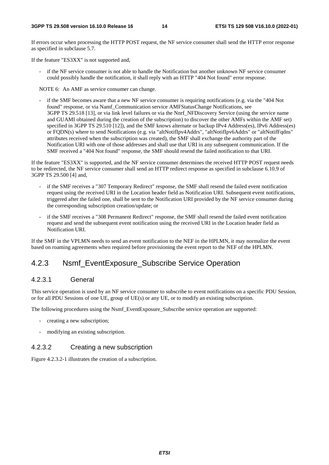If errors occur when processing the HTTP POST request, the NF service consumer shall send the HTTP error response as specified in subclause 5.7.

If the feature "ES3XX" is not supported and,

if the NF service consumer is not able to handle the Notification but another unknown NF service consumer could possibly handle the notification, it shall reply with an HTTP "404 Not found" error response.

NOTE 6: An AMF as service consumer can change.

if the SMF becomes aware that a new NF service consumer is requiring notifications (e.g. via the "404 Not") found" response, or via Namf\_Communication service AMFStatusChange Notifications, see 3GPP TS 29.518 [13], or via link level failures or via the Nnrf\_NFDiscovery Service (using the service name and GUAMI obtained during the creation of the subscription) to discover the other AMFs within the AMF set) specified in 3GPP TS 29.510 [12]), and the SMF knows alternate or backup IPv4 Address(es), IPv6 Address(es) or FQDN(s) where to send Notifications (e.g. via "altNotifIpv4Addrs", "altNotifIpv6Addrs" or "altNotifFqdns" attributes received when the subscription was created), the SMF shall exchange the authority part of the Notification URI with one of those addresses and shall use that URI in any subsequent communication. If the SMF received a "404 Not found" response, the SMF should resend the failed notification to that URI.

If the feature "ES3XX" is supported, and the NF service consumer determines the received HTTP POST request needs to be redirected, the NF service consumer shall send an HTTP redirect response as specified in subclause 6.10.9 of 3GPP TS 29.500 [4] and,

- if the SMF receives a "307 Temporary Redirect" response, the SMF shall resend the failed event notification request using the received URI in the Location header field as Notification URI. Subsequent event notifications, triggered after the failed one, shall be sent to the Notification URI provided by the NF service consumer during the corresponding subscription creation/update; or
- if the SMF receives a "308 Permanent Redirect" response, the SMF shall resend the failed event notification request and send the subsequent event notification using the received URI in the Location header field as Notification URI.

If the SMF in the VPLMN needs to send an event notification to the NEF in the HPLMN, it may normalize the event based on roaming agreements when required before provisioning the event report to the NEF of the HPLMN.

### 4.2.3 Nsmf\_EventExposure\_Subscribe Service Operation

#### 4.2.3.1 General

This service operation is used by an NF service consumer to subscribe to event notifications on a specific PDU Session, or for all PDU Sessions of one UE, group of UE(s) or any UE, or to modify an existing subscription.

The following procedures using the Nsmf\_EventExposure\_Subscribe service operation are supported:

- creating a new subscription;
- modifying an existing subscription.

#### 4.2.3.2 Creating a new subscription

Figure 4.2.3.2-1 illustrates the creation of a subscription.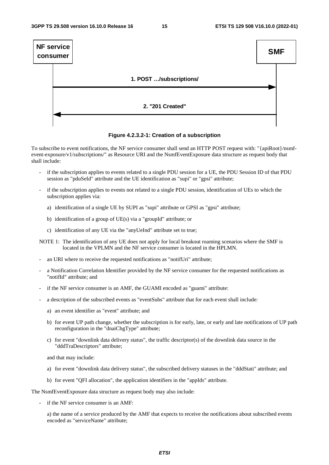

**Figure 4.2.3.2-1: Creation of a subscription** 

To subscribe to event notifications, the NF service consumer shall send an HTTP POST request with: "{apiRoot}/nsmfevent-exposure/v1/subscriptions/" as Resource URI and the NsmfEventExposure data structure as request body that shall include:

- if the subscription applies to events related to a single PDU session for a UE, the PDU Session ID of that PDU session as "pduSeId" attribute and the UE identification as "supi" or "gpsi" attribute;
- if the subscription applies to events not related to a single PDU session, identification of UEs to which the subscription applies via:
	- a) identification of a single UE by SUPI as "supi" attribute or GPSI as "gpsi" attribute;
	- b) identification of a group of UE(s) via a "groupId" attribute; or
	- c) identification of any UE via the "anyUeInd" attribute set to true;

NOTE 1: The identification of any UE does not apply for local breakout roaming scenarios where the SMF is located in the VPLMN and the NF service consumer is located in the HPLMN.

- an URI where to receive the requested notifications as "notifUri" attribute;
- a Notification Correlation Identifier provided by the NF service consumer for the requested notifications as "notifId" attribute; and
- if the NF service consumer is an AMF, the GUAMI encoded as "guami" attribute:
- a description of the subscribed events as "eventSubs" attribute that for each event shall include:
	- a) an event identifier as "event" attribute; and
	- b) for event UP path change, whether the subscription is for early, late, or early and late notifications of UP path reconfiguration in the "dnaiChgType" attribute;
	- c) for event "downlink data delivery status", the traffic descriptor(s) of the downlink data source in the "dddTraDescriptors" attribute;

and that may include:

- a) for event "downlink data delivery status", the subscribed delivery statuses in the "dddStati" attribute; and
- b) for event "QFI allocation", the application identifiers in the "appIds" attribute.

The NsmfEventExposure data structure as request body may also include:

if the NF service consumer is an AMF:

a) the name of a service produced by the AMF that expects to receive the notifications about subscribed events encoded as "serviceName" attribute;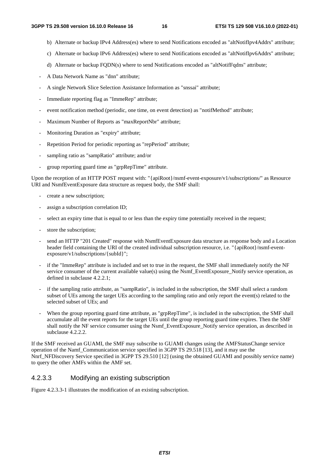- b) Alternate or backup IPv4 Address(es) where to send Notifications encoded as "altNotifIpv4Addrs" attribute;
- c) Alternate or backup IPv6 Address(es) where to send Notifications encoded as "altNotifIpv6Addrs" attribute;
- d) Alternate or backup FODN(s) where to send Notifications encoded as "altNotifFadns" attribute;
- A Data Network Name as "dnn" attribute;
- A single Network Slice Selection Assistance Information as "snssai" attribute;
- Immediate reporting flag as "ImmeRep" attribute;
- event notification method (periodic, one time, on event detection) as "notifMethod" attribute;
- Maximum Number of Reports as "maxReportNbr" attribute;
- Monitoring Duration as "expiry" attribute;
- Repetition Period for periodic reporting as "repPeriod" attribute;
- sampling ratio as "sampRatio" attribute; and/or
- group reporting guard time as "grpRepTime" attribute.

Upon the reception of an HTTP POST request with: "{apiRoot}/nsmf-event-exposure/v1/subscriptions/" as Resource URI and NsmfEventExposure data structure as request body, the SMF shall:

- create a new subscription;
- assign a subscription correlation ID;
- select an expiry time that is equal to or less than the expiry time potentially received in the request;
- store the subscription:
- send an HTTP "201 Created" response with NsmfEventExposure data structure as response body and a Location header field containing the URI of the created individual subscription resource, i.e. "{apiRoot}/nsmf-eventexposure/v1/subscriptions/{subId}";
- if the "ImmeRep" attribute is included and set to true in the request, the SMF shall immediately notify the NF service consumer of the current available value(s) using the Nsmf\_EventExposure\_Notify service operation, as defined in subclause 4.2.2.1;
- if the sampling ratio attribute, as "sampRatio", is included in the subscription, the SMF shall select a random subset of UEs among the target UEs according to the sampling ratio and only report the event(s) related to the selected subset of UEs; and
- When the group reporting guard time attribute, as "grpRepTime", is included in the subscription, the SMF shall accumulate all the event reports for the target UEs until the group reporting guard time expires. Then the SMF shall notify the NF service consumer using the Nsmf\_EventExposure\_Notify service operation, as described in subclause 4.2.2.2.

If the SMF received an GUAMI, the SMF may subscribe to GUAMI changes using the AMFStatusChange service operation of the Namf\_Communication service specified in 3GPP TS 29.518 [13], and it may use the Nnrf\_NFDiscovery Service specified in 3GPP TS 29.510 [12] (using the obtained GUAMI and possibly service name) to query the other AMFs within the AMF set.

#### 4.2.3.3 Modifying an existing subscription

Figure 4.2.3.3-1 illustrates the modification of an existing subscription.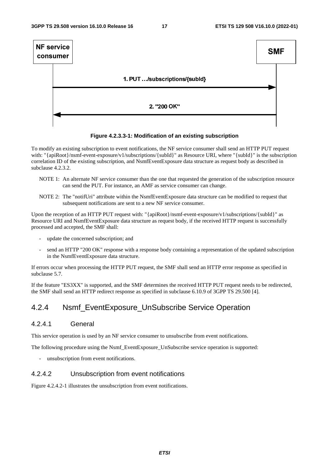

#### **Figure 4.2.3.3-1: Modification of an existing subscription**

To modify an existing subscription to event notifications, the NF service consumer shall send an HTTP PUT request with: "{apiRoot}/nsmf-event-exposure/v1/subscriptions/{subId}" as Resource URI, where "{subId}" is the subscription correlation ID of the existing subscription, and NsmfEventExposure data structure as request body as described in subclause 4.2.3.2.

- NOTE 1: An alternate NF service consumer than the one that requested the generation of the subscription resource can send the PUT. For instance, an AMF as service consumer can change.
- NOTE 2: The "notifUri" attribute within the NsmfEventExposure data structure can be modified to request that subsequent notifications are sent to a new NF service consumer.

Upon the reception of an HTTP PUT request with: "{apiRoot}/nsmf-event-exposure/v1/subscriptions/{subId}" as Resource URI and NsmfEventExposure data structure as request body, if the received HTTP request is successfully processed and accepted, the SMF shall:

- update the concerned subscription; and
- send an HTTP "200 OK" response with a response body containing a representation of the updated subscription in the NsmfEventExposure data structure.

If errors occur when processing the HTTP PUT request, the SMF shall send an HTTP error response as specified in subclause 5.7.

If the feature "ES3XX" is supported, and the SMF determines the received HTTP PUT request needs to be redirected, the SMF shall send an HTTP redirect response as specified in subclause 6.10.9 of 3GPP TS 29.500 [4].

### 4.2.4 Nsmf\_EventExposure\_UnSubscribe Service Operation

#### 4.2.4.1 General

This service operation is used by an NF service consumer to unsubscribe from event notifications.

The following procedure using the Nsmf\_EventExposure\_UnSubscribe service operation is supported:

unsubscription from event notifications.

#### 4.2.4.2 Unsubscription from event notifications

Figure 4.2.4.2-1 illustrates the unsubscription from event notifications.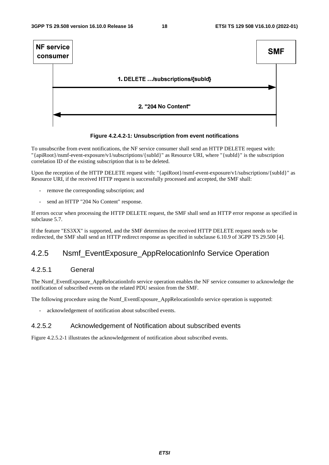

#### **Figure 4.2.4.2-1: Unsubscription from event notifications**

To unsubscribe from event notifications, the NF service consumer shall send an HTTP DELETE request with: "{apiRoot}/nsmf-event-exposure/v1/subscriptions/{subId}" as Resource URI, where "{subId}" is the subscription correlation ID of the existing subscription that is to be deleted.

Upon the reception of the HTTP DELETE request with: "{apiRoot}/nsmf-event-exposure/v1/subscriptions/{subId}" as Resource URI, if the received HTTP request is successfully processed and accepted, the SMF shall:

- remove the corresponding subscription; and
- send an HTTP "204 No Content" response.

If errors occur when processing the HTTP DELETE request, the SMF shall send an HTTP error response as specified in subclause 5.7.

If the feature "ES3XX" is supported, and the SMF determines the received HTTP DELETE request needs to be redirected, the SMF shall send an HTTP redirect response as specified in subclause 6.10.9 of 3GPP TS 29.500 [4].

### 4.2.5 Nsmf\_EventExposure\_AppRelocationInfo Service Operation

#### 4.2.5.1 General

The Nsmf\_EventExposure\_AppRelocationInfo service operation enables the NF service consumer to acknowledge the notification of subscribed events on the related PDU session from the SMF.

The following procedure using the Nsmf\_EventExposure\_AppRelocationInfo service operation is supported:

acknowledgement of notification about subscribed events.

#### 4.2.5.2 Acknowledgement of Notification about subscribed events

Figure 4.2.5.2-1 illustrates the acknowledgement of notification about subscribed events.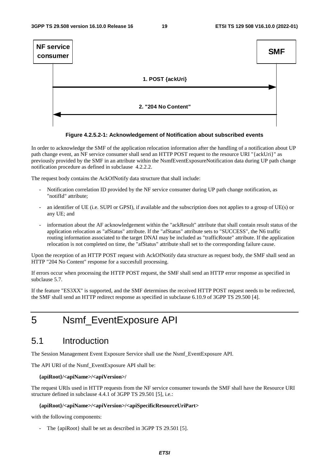



In order to acknowledge the SMF of the application relocation information after the handling of a notification about UP path change event, an NF service consumer shall send an HTTP POST request to the resource URI "{ackUri}" as previously provided by the SMF in an attribute within the NsmfEventExposureNotification data during UP path change notification procedure as defined in subclause 4.2.2.2.

The request body contains the AckOfNotify data structure that shall include:

- Notification correlation ID provided by the NF service consumer during UP path change notification, as "notifId" attribute;
- an identifier of UE (i.e. SUPI or GPSI), if available and the subscription does not applies to a group of UE(s) or any UE; and
- information about the AF acknowledgement within the "ackResult" attribute that shall contain result status of the application relocation as "afStatus" attribute. If the "afStatus" attribute sets to "SUCCESS", the N6 traffic routing information associated to the target DNAI may be included as "trafficRoute" attribute. If the application relocation is not completed on time, the "afStatus" attribute shall set to the corresponding failure cause.

Upon the reception of an HTTP POST request with AckOfNotify data structure as request body, the SMF shall send an HTTP "204 No Content" response for a succesfull processing.

If errors occur when processing the HTTP POST request, the SMF shall send an HTTP error response as specified in subclause 5.7.

If the feature "ES3XX" is supported, and the SMF determines the received HTTP POST request needs to be redirected, the SMF shall send an HTTP redirect response as specified in subclause 6.10.9 of 3GPP TS 29.500 [4].

## 5 Nsmf\_EventExposure API

### 5.1 Introduction

The Session Management Event Exposure Service shall use the Nsmf\_EventExposure API.

The API URI of the Nsmf\_EventExposure API shall be:

#### **{apiRoot}/<apiName>/<apiVersion>/**

The request URIs used in HTTP requests from the NF service consumer towards the SMF shall have the Resource URI structure defined in subclause 4.4.1 of 3GPP TS 29.501 [5], i.e.:

#### **{apiRoot}/<apiName>/<apiVersion>/<apiSpecificResourceUriPart>**

with the following components:

- The {apiRoot} shall be set as described in 3GPP TS 29.501 [5].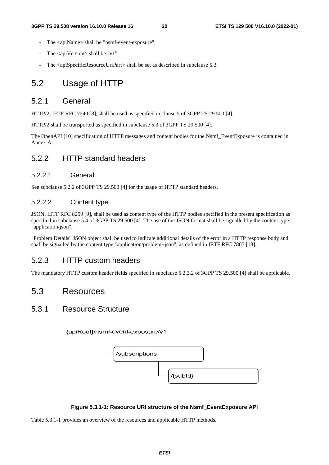- The <apiName> shall be "nsmf-event-exposure".
- The  $\langle$ apiVersion $>$ shall be "v1".
- The  $\langle$ apiSpecificResourceUriPart $>$ shall be set as described in subclause 5.3.

### 5.2 Usage of HTTP

#### 5.2.1 General

HTTP/2, IETF RFC 7540 [8], shall be used as specified in clause 5 of 3GPP TS 29.500 [4].

HTTP/2 shall be transported as specified in subclause 5.3 of 3GPP TS 29.500 [4].

The OpenAPI [10] specification of HTTP messages and content bodies for the Nsmf\_EventExposure is contained in Annex A.

### 5.2.2 HTTP standard headers

#### 5.2.2.1 General

See subclause 5.2.2 of 3GPP TS 29.500 [4] for the usage of HTTP standard headers.

#### 5.2.2.2 Content type

JSON, IETF RFC 8259 [9], shall be used as content type of the HTTP bodies specified in the present specification as specified in subclause 5.4 of 3GPP TS 29.500 [4]. The use of the JSON format shall be signalled by the content type "application/json".

"Problem Details" JSON object shall be used to indicate additional details of the error in a HTTP response body and shall be signalled by the content type "application/problem+json", as defined in IETF RFC 7807 [18].

#### 5.2.3 HTTP custom headers

The mandatory HTTP custom header fields specified in subclause 5.2.3.2 of 3GPP TS 29.500 [4] shall be applicable.

### 5.3 Resources

#### 5.3.1 Resource Structure

{apiRoot}/nsmf-event-exposure/v1



#### **Figure 5.3.1-1: Resource URI structure of the Nsmf\_EventExposure API**

Table 5.3.1-1 provides an overview of the resources and applicable HTTP methods.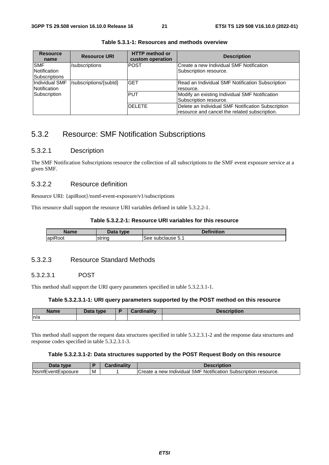| <b>Resource</b><br>name | <b>Resource URI</b>    | <b>HTTP</b> method or<br>custom operation | <b>Description</b>                                 |
|-------------------------|------------------------|-------------------------------------------|----------------------------------------------------|
| <b>SMF</b>              | /subscriptions         | IPOST                                     | Create a new Individual SMF Notification           |
| Notification            |                        |                                           | Subscription resource.                             |
| <b>Subscriptions</b>    |                        |                                           |                                                    |
| Individual SMF          | /subscriptions/{subId} | <b>GET</b>                                | Read an Individual SMF Notification Subscription   |
| Notification            |                        |                                           | resource.                                          |
| Subscription            |                        | <b>PUT</b>                                | Modify an existing Individual SMF Notification     |
|                         |                        |                                           | Subscription resource.                             |
|                         |                        | <b>DELETE</b>                             | Delete an Individual SMF Notification Subscription |
|                         |                        |                                           | resource and cancel the related subscription.      |

**Table 5.3.1-1: Resources and methods overview** 

### 5.3.2 Resource: SMF Notification Subscriptions

#### 5.3.2.1 Description

The SMF Notification Subscriptions resource the collection of all subscriptions to the SMF event exposure service at a given SMF.

#### 5.3.2.2 Resource definition

Resource URI: {apiRoot}/nsmf-event-exposure/v1/subscriptions

This resource shall support the resource URI variables defined in table 5.3.2.2-1.

#### **Table 5.3.2.2-1: Resource URI variables for this resource**

| Name                                      | type<br>vala | <b>Pefinition</b>    |  |  |
|-------------------------------------------|--------------|----------------------|--|--|
| $\overline{\phantom{a}}$<br>lapik<br>≺oot | string       | See<br>subclause 5.1 |  |  |

#### 5.3.2.3 Resource Standard Methods

#### 5.3.2.3.1 POST

This method shall support the URI query parameters specified in table 5.3.2.3.1-1.

#### **Table 5.3.2.3.1-1: URI query parameters supported by the POST method on this resource**

| Name | Data type | dinality<br><b>TOPAL</b><br>ual ul | cription |
|------|-----------|------------------------------------|----------|
| n/a  |           |                                    |          |

This method shall support the request data structures specified in table 5.3.2.3.1-2 and the response data structures and response codes specified in table 5.3.2.3.1-3.

#### **Table 5.3.2.3.1-2: Data structures supported by the POST Request Body on this resource**

| Data type                      |  | Description                                                          |
|--------------------------------|--|----------------------------------------------------------------------|
| <b>INsmfEventExposure</b><br>M |  | ICreate a new Individual SMF Notification<br>∟Subscription resource. |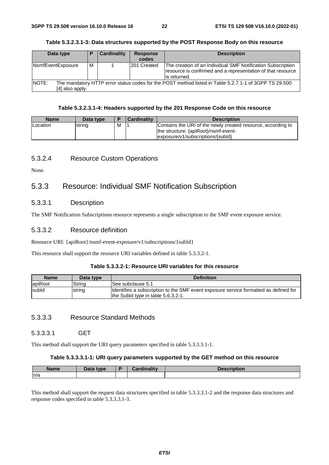| Data type                 | Р | <b>Cardinality</b> | <b>Response</b><br>codes                                                                              | <b>Description</b>                                                                                                                          |
|---------------------------|---|--------------------|-------------------------------------------------------------------------------------------------------|---------------------------------------------------------------------------------------------------------------------------------------------|
| NsmfEventExposure         |   |                    | 201 Created                                                                                           | The creation of an Individual SMF Notification Subscription<br>resource is confirmed and a representation of that resource<br>lis returned. |
| INOTE:<br>[4] also apply. |   |                    | The mandatory HTTP error status codes for the POST method listed in Table 5.2.7.1-1 of 3GPP TS 29.500 |                                                                                                                                             |

#### **Table 5.3.2.3.1-3: Data structures supported by the POST Response Body on this resource**

#### **Table 5.3.2.3.1-4: Headers supported by the 201 Response Code on this resource**

| <b>Name</b> | Data type |   | Cardinality | <b>Description</b>                                                                                                                        |
|-------------|-----------|---|-------------|-------------------------------------------------------------------------------------------------------------------------------------------|
| Location    | string    | M |             | Contains the URI of the newly created resource, according to<br>the structure: {apiRoot}/nsmf-event-<br>exposure/v1/subscriptions/{subld} |

#### 5.3.2.4 Resource Custom Operations

None.

### 5.3.3 Resource: Individual SMF Notification Subscription

#### 5.3.3.1 Description

The SMF Notification Subscriptions resource represents a single subscription to the SMF event exposure service.

#### 5.3.3.2 Resource definition

Resource URI: {apiRoot}/nsmf-event-exposure/v1/subscriptions/{subId}

This resource shall support the resource URI variables defined in table 5.3.3.2-1.

#### **Table 5.3.3.2-1: Resource URI variables for this resource**

| <b>Name</b> | Data type | <b>Definition</b>                                                                    |
|-------------|-----------|--------------------------------------------------------------------------------------|
| apiRoot     | String    | ISee subclause 5.1                                                                   |
| subld       | string    | Identifies a subscription to the SMF event exposure service formatted as defined for |
|             |           | the Subld type in table 5.6.3.2-1.                                                   |

#### 5.3.3.3 Resource Standard Methods

#### 5.3.3.3.1 GET

This method shall support the URI query parameters specified in table 5.3.3.3.1-1.

#### **Table 5.3.3.3.1-1: URI query parameters supported by the GET method on this resource**

| <b>Name</b> | <b>ata type</b> | Cardinality | <b>escription</b> |
|-------------|-----------------|-------------|-------------------|
| n/a         |                 |             |                   |

This method shall support the request data structures specified in table 5.3.3.3.1-2 and the response data structures and response codes specified in table 5.3.3.3.1-3.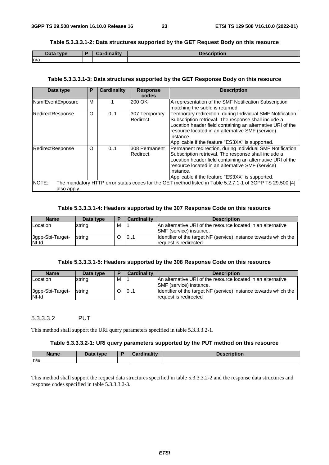**Table 5.3.3.3.1-2: Data structures supported by the GET Request Body on this resource** 

| Data t<br><b>type</b> | Cardinality | <b>Docorintion</b> |
|-----------------------|-------------|--------------------|
| ln/a                  |             |                    |

#### **Table 5.3.3.3.1-3: Data structures supported by the GET Response Body on this resource**

| Data type            | P | <b>Cardinality</b> | <b>Response</b>           | <b>Description</b>                                                                                                                                                                                                                                                                                   |
|----------------------|---|--------------------|---------------------------|------------------------------------------------------------------------------------------------------------------------------------------------------------------------------------------------------------------------------------------------------------------------------------------------------|
|                      |   |                    | codes                     |                                                                                                                                                                                                                                                                                                      |
| NsmfEventExposure    | M |                    | 200 OK                    | A representation of the SMF Notification Subscription<br>matching the subld is returned.                                                                                                                                                                                                             |
| RedirectResponse     | O | 0.1                | 307 Temporary<br>Redirect | Temporary redirection, during Individual SMF Notification<br>Subscription retrieval. The response shall include a<br>Location header field containing an alternative URI of the<br>resource located in an alternative SMF (service)<br>linstance.<br>Applicable if the feature "ES3XX" is supported. |
| RedirectResponse     | O | 0.1                | 308 Permanent<br>Redirect | Permanent redirection, during Individual SMF Notification<br>Subscription retrieval. The response shall include a<br>Location header field containing an alternative URI of the<br>resource located in an alternative SMF (service)<br>linstance.<br>Applicable if the feature "ES3XX" is supported. |
| NOTE:<br>also apply. |   |                    |                           | The mandatory HTTP error status codes for the GET method listed in Table 5.2.7.1-1 of 3GPP TS 29.500 [4]                                                                                                                                                                                             |

#### **Table 5.3.3.3.1-4: Headers supported by the 307 Response Code on this resource**

| <b>Name</b>               | Data type | E | Cardinality | <b>Description</b>                                                                              |
|---------------------------|-----------|---|-------------|-------------------------------------------------------------------------------------------------|
| Location                  | string    | м |             | IAn alternative URI of the resource located in an alternative<br><b>SMF</b> (service) instance. |
| 3gpp-Sbi-Target-<br>Nf-Id | string    |   | 101         | Identifier of the target NF (service) instance towards which the<br>request is redirected       |

#### **Table 5.3.3.3.1-5: Headers supported by the 308 Response Code on this resource**

| <b>Name</b>                      | Data type | E | Cardinality | <b>Description</b>                                                                              |
|----------------------------------|-----------|---|-------------|-------------------------------------------------------------------------------------------------|
| <b>ILocation</b>                 | string    | M |             | An alternative URI of the resource located in an alternative<br><b>ISMF</b> (service) instance. |
| 3gpp-Sbi-Target-<br><b>Nf-Id</b> | string    |   | 101         | Identifier of the target NF (service) instance towards which the<br>request is redirected       |

#### 5.3.3.3.2 PUT

This method shall support the URI query parameters specified in table 5.3.3.3.2-1.

#### **Table 5.3.3.3.2-1: URI query parameters supported by the PUT method on this resource**

| <b>Name</b> | Data type<br>Dala | والمقال والمسائلة | scription |
|-------------|-------------------|-------------------|-----------|
| ln/a        |                   |                   |           |

This method shall support the request data structures specified in table 5.3.3.3.2-2 and the response data structures and response codes specified in table 5.3.3.3.2-3.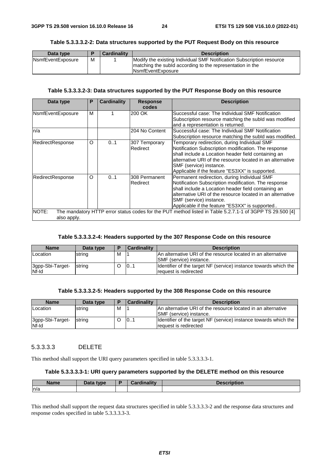#### **Table 5.3.3.3.2-2: Data structures supported by the PUT Request Body on this resource**

| Data type                 |   | <b>Cardinality</b> | <b>Description</b>                                                                                                                 |
|---------------------------|---|--------------------|------------------------------------------------------------------------------------------------------------------------------------|
| <b>N</b> smfEventExposure | м |                    | Modify the existing Individual SMF Notification Subscription resource<br>matching the subid according to the representation in the |
|                           |   |                    | <b>INsmfEventExposure</b>                                                                                                          |

#### **Table 5.3.3.3.2-3: Data structures supported by the PUT Response Body on this resource**

| Data type            | P | <b>Cardinality</b> | <b>Response</b><br>codes  | <b>Description</b>                                                                                                                                                                                                                                                                                     |
|----------------------|---|--------------------|---------------------------|--------------------------------------------------------------------------------------------------------------------------------------------------------------------------------------------------------------------------------------------------------------------------------------------------------|
| NsmfEventExposure    | м |                    | 200 OK                    | Successful case: The Individual SMF Notification<br>Subscription resource matching the subld was modified<br>and a representation is returned.                                                                                                                                                         |
| ln/a                 |   |                    | 204 No Content            | Successful case: The Individual SMF Notification<br>Subscription resource matching the subid was modified.                                                                                                                                                                                             |
| RedirectResponse     | O | 01                 | 307 Temporary<br>Redirect | Temporary redirection, during Individual SMF<br>Notification Subscription modification. The response<br>shall include a Location header field containing an<br>alternative URI of the resource located in an alternative<br>SMF (service) instance.<br>Applicable if the feature "ES3XX" is supported. |
| RedirectResponse     | O | 0.1                | 308 Permanent<br>Redirect | Permanent redirection, during Individual SMF<br>Notification Subscription modification. The response<br>shall include a Location header field containing an<br>alternative URI of the resource located in an alternative<br>SMF (service) instance.<br>Applicable if the feature "ES3XX" is supported  |
| NOTE:<br>also apply. |   |                    |                           | The mandatory HTTP error status codes for the PUT method listed in Table 5.2.7.1-1 of 3GPP TS 29.500 [4]                                                                                                                                                                                               |

#### **Table 5.3.3.3.2-4: Headers supported by the 307 Response Code on this resource**

| <b>Name</b>               | Data type | Е | <b>Cardinality</b> | <b>Description</b>                                                                               |
|---------------------------|-----------|---|--------------------|--------------------------------------------------------------------------------------------------|
| <b>Location</b>           | string    | м |                    | IAn alternative URI of the resource located in an alternative<br><b>ISMF</b> (service) instance. |
| 3gpp-Sbi-Target-<br>Nf-Id | string    |   | 101                | Identifier of the target NF (service) instance towards which the<br>request is redirected        |

#### **Table 5.3.3.3.2-5: Headers supported by the 308 Response Code on this resource**

| <b>Name</b>               | Data type | E | <b>Cardinality</b> | <b>Description</b>                                                                              |
|---------------------------|-----------|---|--------------------|-------------------------------------------------------------------------------------------------|
| <b>Location</b>           | string    | M |                    | An alternative URI of the resource located in an alternative<br><b>ISMF</b> (service) instance. |
| 3gpp-Sbi-Target-<br>Nf-Id | string    |   | 101                | Identifier of the target NF (service) instance towards which the<br>request is redirected       |

#### 5.3.3.3.3 DELETE

This method shall support the URI query parameters specified in table 5.3.3.3.3-1.

#### **Table 5.3.3.3.3-1: URI query parameters supported by the DELETE method on this resource**

| <b>Name</b> | Data type | <b>Cardinality</b><br>rumantv | <b>Description</b> |
|-------------|-----------|-------------------------------|--------------------|
| n/a         |           |                               |                    |

This method shall support the request data structures specified in table 5.3.3.3.3-2 and the response data structures and response codes specified in table 5.3.3.3.3-3.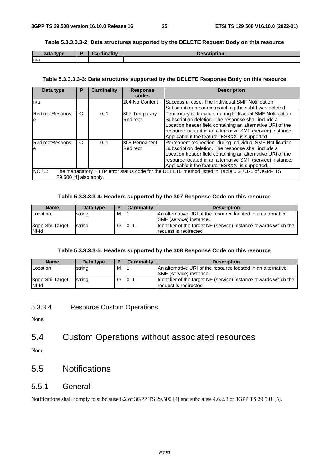#### **Table 5.3.3.3.3-2: Data structures supported by the DELETE Request Body on this resource**

| Data type | <b>Cardinality</b> | <b>Description</b> |
|-----------|--------------------|--------------------|
| ln/a      |                    |                    |

#### **Table 5.3.3.3.3-3: Data structures supported by the DELETE Response Body on this resource**

| Data type                       | Р       | <b>Cardinality</b> | <b>Response</b><br>codes   | <b>Description</b>                                                                                                                                                                                                                                                                              |
|---------------------------------|---------|--------------------|----------------------------|-------------------------------------------------------------------------------------------------------------------------------------------------------------------------------------------------------------------------------------------------------------------------------------------------|
| ln/a                            |         |                    | 204 No Content             | Successful case: The Individual SMF Notification<br>Subscription resource matching the subld was deleted.                                                                                                                                                                                       |
| <b>RedirectRespons</b><br>le    | $\circ$ | 0.1                | 307 Temporary<br>Redirect  | Temporary redirection, during Individual SMF Notification<br>Subscription deletion. The response shall include a<br>Location header field containing an alternative URI of the<br>resource located in an alternative SMF (service) instance.<br>Applicable if the feature "ES3XX" is supported. |
| <b>RedirectRespons</b><br>le    | $\circ$ | 0.1                | l308 Permanent<br>Redirect | Permanent redirection, during Individual SMF Notification<br>Subscription deletion. The response shall include a<br>Location header field containing an alternative URI of the<br>resource located in an alternative SMF (service) instance.<br>Applicable if the feature "ES3XX" is supported  |
| NOTE:<br>29.500 [4] also apply. |         |                    |                            | The manadatory HTTP error status code for the DELETE method listed in Table 5.2.7.1-1 of 3GPP TS                                                                                                                                                                                                |

#### **Table 5.3.3.3.3-4: Headers supported by the 307 Response Code on this resource**

| <b>Name</b>      | Data type | E | <b>Cardinality</b> | <b>Description</b>                                               |
|------------------|-----------|---|--------------------|------------------------------------------------------------------|
| Location         | string    | м |                    | IAn alternative URI of the resource located in an alternative    |
|                  |           |   |                    | ISMF (service) instance.                                         |
| 3gpp-Sbi-Target- | string    |   | 101                | Identifier of the target NF (service) instance towards which the |
| Nf-Id            |           |   |                    | request is redirected                                            |

#### **Table 5.3.3.3.3-5: Headers supported by the 308 Response Code on this resource**

| <b>Name</b>               | Data type |   | <b>Cardinality</b> | <b>Description</b>                                                                              |
|---------------------------|-----------|---|--------------------|-------------------------------------------------------------------------------------------------|
| Location                  | string    | M |                    | An alternative URI of the resource located in an alternative<br><b>ISMF</b> (service) instance. |
| 3gpp-Sbi-Target-<br>Nf-Id | string    |   | 101                | Identifier of the target NF (service) instance towards which the<br>request is redirected       |

#### 5.3.3.4 Resource Custom Operations

None.

### 5.4 Custom Operations without associated resources

None.

### 5.5 Notifications

#### 5.5.1 General

Notifications shall comply to subclause 6.2 of 3GPP TS 29.500 [4] and subclause 4.6.2.3 of 3GPP TS 29.501 [5].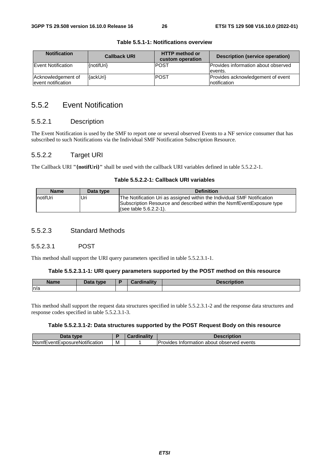| <b>Notification</b>                      | <b>Callback URI</b> | <b>HTTP method or</b><br>custom operation | Description (service operation)                        |
|------------------------------------------|---------------------|-------------------------------------------|--------------------------------------------------------|
| <b>Event Notification</b>                | {notifUri}          | IPOST                                     | <b>Provides information about observed</b><br>levents. |
| Acknowledgement of<br>event notification | {ackUri}            | <b>IPOST</b>                              | Provides acknowledgement of event<br>Inotification     |

#### **Table 5.5.1-1: Notifications overview**

### 5.5.2 Event Notification

#### 5.5.2.1 Description

The Event Notification is used by the SMF to report one or several observed Events to a NF service consumer that has subscribed to such Notifications via the Individual SMF Notification Subscription Resource.

#### 5.5.2.2 Target URI

The Callback URI **"{notifUri}"** shall be used with the callback URI variables defined in table 5.5.2.2-1.

#### **Table 5.5.2.2-1: Callback URI variables**

| <b>Name</b>      | Data type | <b>Definition</b>                                                                                                                                                            |
|------------------|-----------|------------------------------------------------------------------------------------------------------------------------------------------------------------------------------|
| <b>InotifUri</b> | Jri       | The Notification Uri as assigned within the Individual SMF Notification<br>Subscription Resource and described within the NsmfEventExposure type<br>$(see table 5.6.2.2-1).$ |

#### 5.5.2.3 Standard Methods

#### 5.5.2.3.1 POST

This method shall support the URI query parameters specified in table 5.5.2.3.1-1.

#### **Table 5.5.2.3.1-1: URI query parameters supported by the POST method on this resource**

| Name | Data tvpe<br><i><u>sala</u></i> | $\boldsymbol{\mathsf{unality}}$ | ription: |
|------|---------------------------------|---------------------------------|----------|
| ln/a |                                 |                                 |          |

This method shall support the request data structures specified in table 5.5.2.3.1-2 and the response data structures and response codes specified in table 5.5.2.3.1-3.

#### **Table 5.5.2.3.1-2: Data structures supported by the POST Request Body on this resource**

| Data<br>tvne                          |   | $\mathcal{L}$ ardinalit $\mathcal{V}$ | Description                                                     |
|---------------------------------------|---|---------------------------------------|-----------------------------------------------------------------|
| <b>N</b> smfEventExposureNotification | M |                                       | <b>Provides</b><br>⊧events<br>observed<br>، Information about ∈ |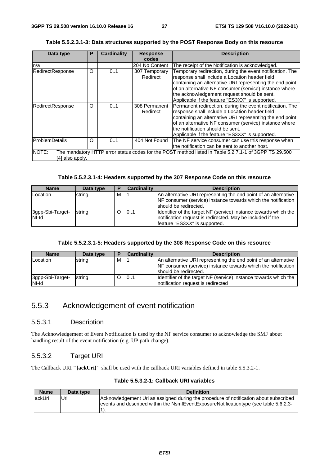| Table 5.5.2.3.1-3: Data structures supported by the POST Response Body on this resource |  |
|-----------------------------------------------------------------------------------------|--|
|-----------------------------------------------------------------------------------------|--|

| Data type                | Р | <b>Cardinality</b> | <b>Response</b>           | <b>Description</b>                                                                                                                                                                                                                                                                                                                  |
|--------------------------|---|--------------------|---------------------------|-------------------------------------------------------------------------------------------------------------------------------------------------------------------------------------------------------------------------------------------------------------------------------------------------------------------------------------|
|                          |   |                    | codes                     |                                                                                                                                                                                                                                                                                                                                     |
| n/a                      |   |                    | 204 No Content            | The receipt of the Notification is acknowledged.                                                                                                                                                                                                                                                                                    |
| RedirectResponse         | O | 0.1                | 307 Temporary<br>Redirect | Temporary redirection, during the event notification. The<br>response shall include a Location header field<br>containing an alternative URI representing the end point<br>of an alternative NF consumer (service) instance where<br>the acknowledgement request should be sent.<br>Applicable if the feature "ES3XX" is supported. |
| RedirectResponse         | O | 0.1                | 308 Permanent<br>Redirect | Permanent redirection, during the event notification. The<br>response shall include a Location header field<br>containing an alternative URI representing the end point<br>of an alternative NF consumer (service) instance where<br>the notification should be sent.<br>Applicable if the feature "ES3XX" is supported.            |
| lProblemDetails          | O | 0.1                | 404 Not Found             | The NF service consumer can use this response when<br>lthe notification can be sent to another host.                                                                                                                                                                                                                                |
| NOTE:<br>[4] also apply. |   |                    |                           | The mandatory HTTP error status codes for the POST method listed in Table 5.2.7.1-1 of 3GPP TS 29.500                                                                                                                                                                                                                               |

#### **Table 5.5.2.3.1-4: Headers supported by the 307 Response Code on this resource**

| <b>Name</b>      | Data type | D | <b>Cardinality</b> | <b>Description</b>                                               |
|------------------|-----------|---|--------------------|------------------------------------------------------------------|
| Location         | string    | м |                    | An alternative URI representing the end point of an alternative  |
|                  |           |   |                    | NF consumer (service) instance towards which the notification    |
|                  |           |   |                    | should be redirected.                                            |
| 3gpp-Sbi-Target- | string    |   | 101                | Identifier of the target NF (service) instance towards which the |
| Nf-Id            |           |   |                    | Inotification request is redirected. May be included if the      |
|                  |           |   |                    | feature "ES3XX" is supported.                                    |

#### **Table 5.5.2.3.1-5: Headers supported by the 308 Response Code on this resource**

| <b>Name</b>               | Data type | E | <b>Cardinality</b>                                              | <b>Description</b>                                                                                      |
|---------------------------|-----------|---|-----------------------------------------------------------------|---------------------------------------------------------------------------------------------------------|
| Location                  | string    | м | An alternative URI representing the end point of an alternative |                                                                                                         |
|                           |           |   |                                                                 | NF consumer (service) instance towards which the notification<br>should be redirected.                  |
| 3gpp-Sbi-Target-<br>Nf-Id | string    |   | 101                                                             | Identifier of the target NF (service) instance towards which the<br>Inotification request is redirected |

### 5.5.3 Acknowledgement of event notification

#### 5.5.3.1 Description

The Acknowledgement of Event Notification is used by the NF service consumer to acknowledge the SMF about handling result of the event notification (e.g. UP path change).

#### 5.5.3.2 Target URI

The Callback URI **"{ackUri}"** shall be used with the callback URI variables defined in table 5.5.3.2-1.

|  |  |  |  |  | Table 5.5.3.2-1: Callback URI variables |
|--|--|--|--|--|-----------------------------------------|
|--|--|--|--|--|-----------------------------------------|

| <b>Name</b> | Data type | <b>Definition</b>                                                                                                                                                              |
|-------------|-----------|--------------------------------------------------------------------------------------------------------------------------------------------------------------------------------|
| lackUri     | Uri       | Acknowledgement Uri as assigned during the procedure of notification about subscribed<br>events and described within the NsmfEventExposureNotificationtype (see table 5.6.2.3- |
|             |           |                                                                                                                                                                                |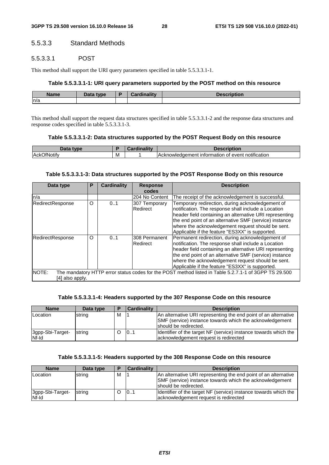#### 5.5.3.3 Standard Methods

#### 5.5.3.3.1 POST

This method shall support the URI query parameters specified in table 5.5.3.3.1-1.

#### **Table 5.5.3.3.1-1: URI query parameters supported by the POST method on this resource**

| --<br>Name | <b>Data type</b> | D<br><b>Timelity</b><br><b>PARAL</b><br>ан | <b>MIDUOL</b> |  |
|------------|------------------|--------------------------------------------|---------------|--|
| n/a        |                  |                                            |               |  |

This method shall support the request data structures specified in table 5.5.3.3.1-2 and the response data structures and response codes specified in table 5.5.3.3.1-3.

#### **Table 5.5.3.3.1-2: Data structures supported by the POST Request Body on this resource**

| tvne                            |   | <br>---- | .<br>IDUOI.                                                                              |
|---------------------------------|---|----------|------------------------------------------------------------------------------------------|
| .<br>IAck <sup>(</sup><br>ΝΟΊΙΤ | M |          | .<br><b>IAcknowlec</b><br>notification<br>$     -$<br>t information of event.<br>aaement |

#### **Table 5.5.3.3.1-3: Data structures supported by the POST Response Body on this resource**

| Data type        | Р | <b>Cardinality</b> | <b>Response</b> | <b>Description</b>                                                                                    |
|------------------|---|--------------------|-----------------|-------------------------------------------------------------------------------------------------------|
|                  |   |                    | codes           |                                                                                                       |
| n/a              |   |                    | 204 No Content  | The receipt of the acknowledgement is successful.                                                     |
| RedirectResponse | O | 0.1                | 307 Temporary   | Temporary redirection, during acknowledgement of                                                      |
|                  |   |                    | Redirect        | notification. The response shall include a Location                                                   |
|                  |   |                    |                 | header field containing an alternative URI representing                                               |
|                  |   |                    |                 | the end point of an alternative SMF (service) instance                                                |
|                  |   |                    |                 | where the acknowledgement request should be sent.                                                     |
|                  |   |                    |                 | Applicable if the feature "ES3XX" is supported.                                                       |
| RedirectResponse | O | 0.1                | 308 Permanent   | Permanent redirection, during acknowledgement of                                                      |
|                  |   |                    | Redirect        | notification. The response shall include a Location                                                   |
|                  |   |                    |                 | header field containing an alternative URI representing                                               |
|                  |   |                    |                 | the end point of an alternative SMF (service) instance                                                |
|                  |   |                    |                 | where the acknowledgement request should be sent.                                                     |
|                  |   |                    |                 | Applicable if the feature "ES3XX" is supported.                                                       |
| NOTE:            |   |                    |                 | The mandatory HTTP error status codes for the POST method listed in Table 5.2.7.1-1 of 3GPP TS 29.500 |
| [4] also apply.  |   |                    |                 |                                                                                                       |

#### **Table 5.5.3.3.1-4: Headers supported by the 307 Response Code on this resource**

| <b>Name</b>               | Data type |   | <b>Cardinality</b> | <b>Description</b>                                                                                                                                   |
|---------------------------|-----------|---|--------------------|------------------------------------------------------------------------------------------------------------------------------------------------------|
| Location                  | string    | М |                    | An alternative URI representing the end point of an alternative<br>SMF (service) instance towards which the acknowledgement<br>should be redirected. |
| 3gpp-Sbi-Target-<br>Nf-Id | string    |   | 101                | Identifier of the target NF (service) instance towards which the<br>acknowledgement request is redirected                                            |

#### **Table 5.5.3.3.1-5: Headers supported by the 308 Response Code on this resource**

| <b>Name</b>      | Data type | D | <b>Cardinality</b> | <b>Description</b>                                               |
|------------------|-----------|---|--------------------|------------------------------------------------------------------|
| Location         | string    | M |                    | An alternative URI representing the end point of an alternative  |
|                  |           |   |                    | SMF (service) instance towards which the acknowledgement         |
|                  |           |   |                    | Ishould be redirected.                                           |
| 3gpp-Sbi-Target- | string    |   | 101                | Identifier of the target NF (service) instance towards which the |
| Nf-Id            |           |   |                    | acknowledgement request is redirected                            |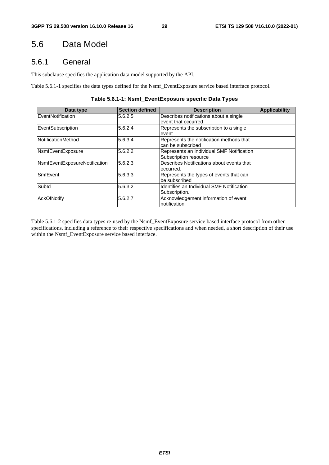### 5.6 Data Model

### 5.6.1 General

This subclause specifies the application data model supported by the API.

Table 5.6.1-1 specifies the data types defined for the Nsmf\_EventExposure service based interface protocol.

| Table 5.6.1-1: Nsmf_EventExposure specific Data Types |  |  |  |
|-------------------------------------------------------|--|--|--|
|-------------------------------------------------------|--|--|--|

| Data type                     | <b>Section defined</b> | <b>Description</b>                                                 | <b>Applicability</b> |
|-------------------------------|------------------------|--------------------------------------------------------------------|----------------------|
| EventNotification             | 5.6.2.5                | Describes notifications about a single<br>event that occurred.     |                      |
| EventSubscription             | 5.6.2.4                | Represents the subscription to a single<br>event                   |                      |
| NotificationMethod            | 5.6.3.4                | Represents the notification methods that<br>can be subscribed      |                      |
| NsmfEventExposure             | 5.6.2.2                | Represents an Individual SMF Notification<br>Subscription resource |                      |
| NsmfEventExposureNotification | 5.6.2.3                | Describes Notifications about events that<br>loccurred.            |                      |
| <b>SmfEvent</b>               | 5.6.3.3                | Represents the types of events that can<br>be subscribed           |                      |
| Subld                         | 5.6.3.2                | <b>Identifies an Individual SMF Notification</b><br>Subscription.  |                      |
| <b>AckOfNotify</b>            | 5.6.2.7                | Acknowledgement information of event<br>notification               |                      |

Table 5.6.1-2 specifies data types re-used by the Nsmf\_EventExposure service based interface protocol from other specifications, including a reference to their respective specifications and when needed, a short description of their use within the Nsmf\_EventExposure service based interface.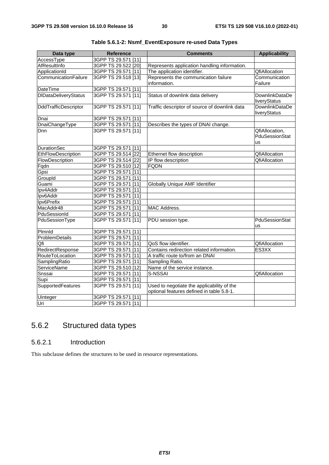| Data type                   | <b>Reference</b>    | <b>Comments</b>                               | <b>Applicability</b> |
|-----------------------------|---------------------|-----------------------------------------------|----------------------|
| AccessType                  | 3GPP TS 29.571 [11] |                                               |                      |
| AfResultInfo                | 3GPP TS 29.522 [20] | Represents application handling information.  |                      |
| ApplicationId               | 3GPP TS 29.571 [11] | The application identifier.                   | <b>QfiAllocation</b> |
| CommunicationFailure        | 3GPP TS 29.518 [13] | Represents the communication failure          | Communication        |
|                             |                     | information.                                  | Failure              |
| <b>DateTime</b>             | 3GPP TS 29.571 [11] |                                               |                      |
| <b>DIDataDeliveryStatus</b> | 3GPP TS 29.571 [11] | Status of downlink data delivery              | DownlinkDataDe       |
|                             |                     |                                               | liveryStatus         |
| DddTrafficDescriptor        | 3GPP TS 29.571 [11] | Traffic descriptor of source of downlink data | DownlinkDataDe       |
|                             |                     |                                               | liveryStatus         |
| Dnai                        | 3GPP TS 29.571 [11] |                                               |                      |
| <b>DnaiChangeType</b>       | 3GPP TS 29.571 [11] | Describes the types of DNAI change.           |                      |
| <b>D</b> nn                 | 3GPP TS 29.571 [11] |                                               | QfiAllocation,       |
|                             |                     |                                               | PduSessionStat       |
|                             |                     |                                               | us                   |
| <b>DurationSec</b>          | 3GPP TS 29.571 [11] |                                               |                      |
| EthFlowDescription          | 3GPP TS 29.514 [22] | Ethernet flow description                     | <b>QfiAllocation</b> |
| FlowDescription             | 3GPP TS 29.514 [22] | IP flow description                           | <b>QfiAllocation</b> |
| Fqdn                        | 3GPP TS 29.510 [12] | <b>FQDN</b>                                   |                      |
| Gpsi                        | 3GPP TS 29.571 [11] |                                               |                      |
| GroupId                     | 3GPP TS 29.571 [11] |                                               |                      |
| Guami                       | 3GPP TS 29.571 [11] | Globally Unique AMF Identifier                |                      |
| Ipv4Addr                    | 3GPP TS 29.571 [11] |                                               |                      |
| Ipv6Addr                    | 3GPP TS 29.571 [11] |                                               |                      |
| Ipv6Prefix                  | 3GPP TS 29.571 [11] |                                               |                      |
| MacAddr48                   | 3GPP TS 29.571 [11] | <b>MAC Address.</b>                           |                      |
| PduSessionId                | 3GPP TS 29.571 [11] |                                               |                      |
| PduSessionType              | 3GPP TS 29.571 [11] | PDU session type.                             | PduSessionStat       |
|                             |                     |                                               | us                   |
| Plmnld                      | 3GPP TS 29.571 [11] |                                               |                      |
| ProblemDetails              | 3GPP TS 29.571 [11] |                                               |                      |
| Qfi                         | 3GPP TS 29.571 [11] | QoS flow identifier.                          | QfiAllocation        |
| RedirectResponse            | 3GPP TS 29.571 [11] | Contains redirection related information.     | ES3XX                |
| RouteToLocation             | 3GPP TS 29.571 [11] | A traffic route to/from an DNAI               |                      |
| SamplingRatio               | 3GPP TS 29.571 [11] | Sampling Ratio.                               |                      |
| <b>ServiceName</b>          | 3GPP TS 29.510 [12] | Name of the service instance.                 |                      |
| Snssai                      | 3GPP TS 29.571 [11] | S-NSSAI                                       | QfiAllocation        |
| Supi                        | 3GPP TS 29.571 [11] |                                               |                      |
| <b>SupportedFeatures</b>    | 3GPP TS 29.571 [11] | Used to negotiate the applicability of the    |                      |
|                             |                     | optional features defined in table 5.8-1.     |                      |
| Uinteger                    | 3GPP TS 29.571 [11] |                                               |                      |
| Uri                         | 3GPP TS 29.571 [11] |                                               |                      |

**Table 5.6.1-2: Nsmf\_EventExposure re-used Data Types** 

## 5.6.2 Structured data types

### 5.6.2.1 Introduction

This subclause defines the structures to be used in resource representations.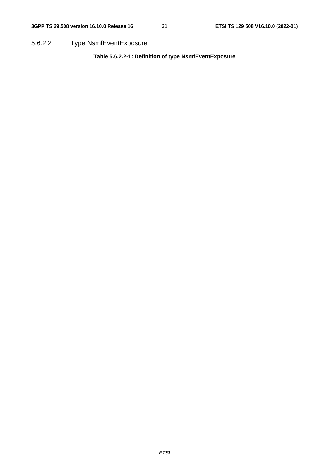5.6.2.2 Type NsmfEventExposure

**Table 5.6.2.2-1: Definition of type NsmfEventExposure**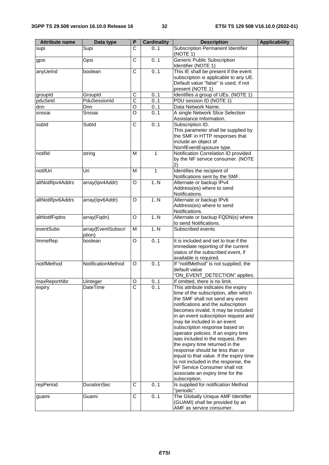| <b>Attribute name</b> | Data type                    | P                     | <b>Cardinality</b> | <b>Description</b>                                                                                                                                                                                                                                                                                                                                                                                                                                                                                                                                                                                                                 | <b>Applicability</b> |
|-----------------------|------------------------------|-----------------------|--------------------|------------------------------------------------------------------------------------------------------------------------------------------------------------------------------------------------------------------------------------------------------------------------------------------------------------------------------------------------------------------------------------------------------------------------------------------------------------------------------------------------------------------------------------------------------------------------------------------------------------------------------------|----------------------|
| supi                  | Supi                         | C                     | 0.1                | Subscription Permanent Identifier<br>(NOTE 1)                                                                                                                                                                                                                                                                                                                                                                                                                                                                                                                                                                                      |                      |
| gpsi                  | Gpsi                         | $\overline{\text{c}}$ | 0.1                | <b>Generic Public Subscription</b><br>Identifier (NOTE 1)                                                                                                                                                                                                                                                                                                                                                                                                                                                                                                                                                                          |                      |
| anyUeInd              | boolean                      | С                     | 0.1                | This IE shall be present if the event<br>subscription is applicable to any UE.<br>Default value "false" is used, if not<br>present (NOTE 1)                                                                                                                                                                                                                                                                                                                                                                                                                                                                                        |                      |
| groupId               | GroupId                      | C                     | 0.1                | Identifies a group of UEs. (NOTE 1)                                                                                                                                                                                                                                                                                                                                                                                                                                                                                                                                                                                                |                      |
| pduSeld               | PduSessionId                 | $\overline{\text{c}}$ | 0.1                | PDU session ID (NOTE 1)                                                                                                                                                                                                                                                                                                                                                                                                                                                                                                                                                                                                            |                      |
| dnn                   | Dnn                          | $\overline{\circ}$    | 0.1                | Data Network Name.                                                                                                                                                                                                                                                                                                                                                                                                                                                                                                                                                                                                                 |                      |
| snssai                | Snssai                       | O                     | 0.1                | A single Network Slice Selection<br>Assistance Information.                                                                                                                                                                                                                                                                                                                                                                                                                                                                                                                                                                        |                      |
| subld                 | Subld                        | С                     | 0.1                | Subscription ID.<br>This parameter shall be supplied by<br>the SMF in HTTP responses that<br>include an object of<br>NsmfEventExposure type.                                                                                                                                                                                                                                                                                                                                                                                                                                                                                       |                      |
| notifld               | string                       | M                     | 1                  | Notification Correlation ID provided<br>by the NF service consumer. (NOTE<br>2)                                                                                                                                                                                                                                                                                                                                                                                                                                                                                                                                                    |                      |
| notifUri              | Uri                          | M                     | 1                  | Identifies the recipient of<br>Notifications sent by the SMF.                                                                                                                                                                                                                                                                                                                                                                                                                                                                                                                                                                      |                      |
| altNotiflpv4Addrs     | array(Ipv4Addr)              | O                     | 1.N                | Alternate or backup IPv4<br>Address(es) where to send<br>Notifications.                                                                                                                                                                                                                                                                                                                                                                                                                                                                                                                                                            |                      |
| altNotiflpv6Addrs     | array(Ipv6Addr)              | O                     | 1.N                | Alternate or backup IPv6<br>Address(es) where to send<br>Notifications.                                                                                                                                                                                                                                                                                                                                                                                                                                                                                                                                                            |                      |
| altNotifFqdns         | array(Fqdn)                  | O                     | 1N                 | Alternate or backup FQDN(s) where<br>to send Notifications.                                                                                                                                                                                                                                                                                                                                                                                                                                                                                                                                                                        |                      |
| eventSubs             | array(EventSubscri<br>ption) | M                     | 1N                 | Subscribed events                                                                                                                                                                                                                                                                                                                                                                                                                                                                                                                                                                                                                  |                      |
| ImmeRep               | boolean                      | O                     | 0.1                | It is included and set to true if the<br>immediate reporting of the current<br>status of the subscribed event, if<br>available is required.                                                                                                                                                                                                                                                                                                                                                                                                                                                                                        |                      |
| notifMethod           | NotificationMethod           | O                     | 0.1                | If "notifMethod" is not supplied, the<br>default value<br>"ON_EVENT_DETECTION" applies.                                                                                                                                                                                                                                                                                                                                                                                                                                                                                                                                            |                      |
| maxReportNbr          | Uinteger                     | O                     | 0.1                | If omitted, there is no limit.                                                                                                                                                                                                                                                                                                                                                                                                                                                                                                                                                                                                     |                      |
| expiry                | DateTime                     | C                     | 01                 | This attribute indicates the expiry<br>time of the subscription, after which<br>the SMF shall not send any event<br>notifications and the subscription<br>becomes invalid. It may be included<br>in an event subscription request and<br>may be included in an event<br>subscription response based on<br>operator policies. If an expiry time<br>was included in the request, then<br>the expiry time returned in the<br>response should be less than or<br>equal to that value. If the expiry time<br>is not included in the response, the<br>NF Service Consumer shall not<br>associate an expiry time for the<br>subscription. |                      |
| repPeriod             | <b>DurationSec</b>           | C                     | 0.1                | Is supplied for notification Method<br>"periodic".                                                                                                                                                                                                                                                                                                                                                                                                                                                                                                                                                                                 |                      |
| guami                 | Guami                        | С                     | 0.1                | The Globally Unique AMF Identifier<br>(GUAMI) shall be provided by an<br>AMF as service consumer.                                                                                                                                                                                                                                                                                                                                                                                                                                                                                                                                  |                      |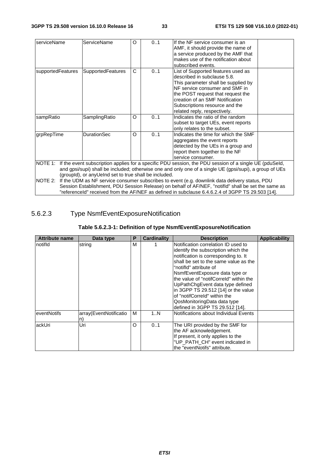| serviceName                                                                                      | <b>ServiceName</b>                                    | Ω | 01 | If the NF service consumer is an<br>AMF, it should provide the name of<br>a service produced by the AMF that<br>makes use of the notification about<br>subscribed events.                                                                                                            |  |  |  |
|--------------------------------------------------------------------------------------------------|-------------------------------------------------------|---|----|--------------------------------------------------------------------------------------------------------------------------------------------------------------------------------------------------------------------------------------------------------------------------------------|--|--|--|
| supportedFeatures                                                                                | <b>SupportedFeatures</b>                              | C | 01 | List of Supported features used as<br>described in subclause 5.8.<br>This parameter shall be supplied by<br>NF service consumer and SMF in<br>the POST request that request the<br>creation of an SMF Notification<br>Subscriptions resource and the<br>related reply, respectively. |  |  |  |
| sampRatio                                                                                        | SamplingRatio                                         | O | 01 | Indicates the ratio of the random<br>subset to target UEs, event reports<br>only relates to the subset.                                                                                                                                                                              |  |  |  |
| grpRepTime                                                                                       | <b>DurationSec</b>                                    | O | 01 | Indicates the time for which the SMF<br>aggregates the event reports<br>detected by the UEs in a group and<br>report them together to the NF<br>service consumer.                                                                                                                    |  |  |  |
|                                                                                                  |                                                       |   |    | NOTE 1: If the event subscription applies for a specific PDU session, the PDU session of a single UE (pduSeld,                                                                                                                                                                       |  |  |  |
|                                                                                                  |                                                       |   |    | and gpsi/supi) shall be included; otherwise one and only one of a single UE (gpsi/supi), a group of UEs                                                                                                                                                                              |  |  |  |
|                                                                                                  | (groupld), or anyUeInd set to true shall be included. |   |    |                                                                                                                                                                                                                                                                                      |  |  |  |
|                                                                                                  |                                                       |   |    | NOTE 2: If the UDM as NF service consumer subscribes to event (e.g. downlink data delivery status, PDU                                                                                                                                                                               |  |  |  |
|                                                                                                  |                                                       |   |    | Session Establishment, PDU Session Release) on behalf of AF/NEF, "notifld" shall be set the same as                                                                                                                                                                                  |  |  |  |
| "referenceId" received from the AF/NEF as defined in subclause 6.4.6.2.4 of 3GPP TS 29.503 [14]. |                                                       |   |    |                                                                                                                                                                                                                                                                                      |  |  |  |

### 5.6.2.3 Type NsmfEventExposureNotification

#### **Table 5.6.2.3-1: Definition of type NsmfEventExposureNotification**

| <b>Attribute name</b> | Data type                    | P | <b>Cardinality</b> | <b>Description</b>                                                                                                                                                                                                                                                                                                                                                                                                                             | <b>Applicability</b> |
|-----------------------|------------------------------|---|--------------------|------------------------------------------------------------------------------------------------------------------------------------------------------------------------------------------------------------------------------------------------------------------------------------------------------------------------------------------------------------------------------------------------------------------------------------------------|----------------------|
| Inotifid              | string                       | M |                    | Notification correlation ID used to<br>identify the subscription which the<br>notification is corresponding to. It<br>shall be set to the same value as the<br>"notifid" attribute of<br>NsmfEventExposure data type or<br>the value of "notifCorreld" within the<br>UpPathChgEvent data type defined<br>in 3GPP TS 29.512 [14] or the value<br>of "notifCorreld" within the<br>QosMonitoringData data type<br>defined in 3GPP TS 29.512 [14]. |                      |
| leventNotifs          | array(EventNotificatio<br>n) | м | 1N                 | Notifications about Individual Events                                                                                                                                                                                                                                                                                                                                                                                                          |                      |
| lackUri               | Uri                          | O | 0.1                | The URI provided by the SMF for<br>the AF acknowledgement.<br>If present, it only applies to the<br>"UP PATH CH" event indicated in<br>lthe "eventNotifs" attribute.                                                                                                                                                                                                                                                                           |                      |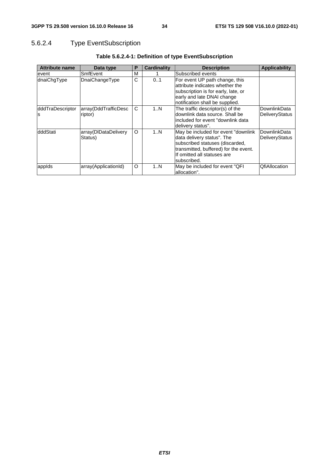### 5.6.2.4 Type EventSubscription

| <b>Attribute name</b>  | Data type                       | P | Cardinality | <b>Description</b>                                                                                                                                                                           | Applicability                  |
|------------------------|---------------------------------|---|-------------|----------------------------------------------------------------------------------------------------------------------------------------------------------------------------------------------|--------------------------------|
| event                  | SmfEvent                        | M |             | Subscribed events                                                                                                                                                                            |                                |
| dnaiChgType            | <b>DnaiChangeType</b>           | C | 0.1         | For event UP path change, this<br>attribute indicates whether the<br>subscription is for early, late, or<br>early and late DNAI change<br>notification shall be supplied.                    |                                |
| dddTraDescriptor<br>ls | array(DddTrafficDesc<br>riptor) | C | 1N          | The traffic descriptor(s) of the<br>downlink data source. Shall be<br>included for event "downlink data<br>delivery status".                                                                 | DownlinkData<br>DeliveryStatus |
| dddStati               | array(DIDataDelivery<br>Status) | O | 1N          | May be included for event "downlink"<br>data delivery status". The<br>subscribed statuses (discarded,<br>transmitted, buffered) for the event.<br>If omitted all statuses are<br>subscribed. | DownlinkData<br>DeliveryStatus |
| appids                 | array(ApplicationId)            | O | 1N          | May be included for event "QFI<br>allocation".                                                                                                                                               | <b>QfiAllocation</b>           |

### **Table 5.6.2.4-1: Definition of type EventSubscription**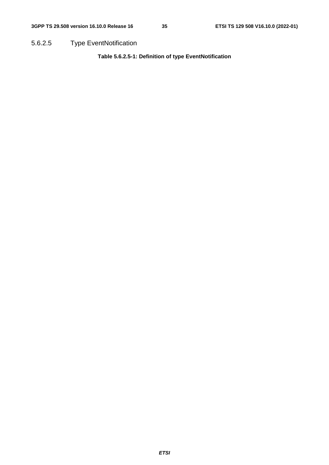5.6.2.5 Type EventNotification

**Table 5.6.2.5-1: Definition of type EventNotification**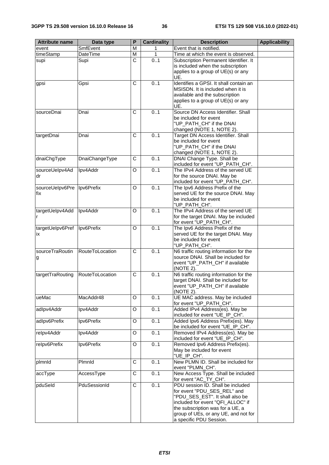| <b>Attribute name</b>  | Data type       | P                     | <b>Cardinality</b> | <b>Description</b>                                                                                                                                                                                                                              | <b>Applicability</b> |
|------------------------|-----------------|-----------------------|--------------------|-------------------------------------------------------------------------------------------------------------------------------------------------------------------------------------------------------------------------------------------------|----------------------|
| event                  | SmfEvent        | M                     | 1                  | Event that is notified.                                                                                                                                                                                                                         |                      |
| timeStamp              | DateTime        | M                     | 1                  | Time at which the event is observed.                                                                                                                                                                                                            |                      |
| supi                   | Supi            | $\overline{\text{c}}$ | 0.1                | Subscription Permanent Identifier. It<br>is included when the subscription<br>applies to a group of UE(s) or any                                                                                                                                |                      |
| gpsi                   | Gpsi            | $\overline{C}$        | 0.1                | UE.<br>Identifies a GPSI. It shall contain an                                                                                                                                                                                                   |                      |
|                        |                 |                       |                    | MSISDN. It is included when it is<br>available and the subscription<br>applies to a group of UE(s) or any<br>UE.                                                                                                                                |                      |
| sourceDnai             | Dnai            | C                     | 0.1                | Source DN Access Identifier. Shall<br>be included for event<br>"UP_PATH_CH" if the DNAI<br>changed (NOTE 1, NOTE 2).                                                                                                                            |                      |
| targetDnai             | Dnai            | C                     | 0.1                | Target DN Access Identifier. Shall<br>be included for event<br>"UP_PATH_CH" if the DNAI<br>changed (NOTE 1, NOTE 2).                                                                                                                            |                      |
| dnaiChgType            | DnaiChangeType  | C                     | 0.1                | DNAI Change Type. Shall be<br>included for event "UP_PATH_CH".                                                                                                                                                                                  |                      |
| sourceUelpv4Ad<br>dr   | Ipv4Addr        | O                     | 0.1                | The IPv4 Address of the served UE<br>for the source DNAI. May be<br>included for event "UP_PATH_CH".                                                                                                                                            |                      |
| sourceUelpv6Pre<br>fix | Ipv6Prefix      | O                     | 0.1                | The Ipv6 Address Prefix of the<br>served UE for the source DNAI. May<br>be included for event<br>"UP_PATH_CH".                                                                                                                                  |                      |
| targetUelpv4Add<br>r   | Ipv4Addr        | O                     | 0.1                | The IPv4 Address of the served UE<br>for the target DNAI. May be included<br>for event "UP_PATH_CH".                                                                                                                                            |                      |
| targetUelpv6Pref<br>ix | Ipv6Prefix      | O                     | 0.1                | The Ipv6 Address Prefix of the<br>served UE for the target DNAI. May<br>be included for event<br>"UP_PATH_CH".                                                                                                                                  |                      |
| sourceTraRoutin<br>g   | RouteToLocation | C                     | 0.1                | N6 traffic routing information for the<br>source DNAI. Shall be included for<br>event "UP_PATH_CH" if available<br>(NOTE 2).                                                                                                                    |                      |
| targetTraRouting       | RouteToLocation | C                     | 0.1                | N6 traffic routing information for the<br>target DNAI. Shall be included for<br>event "UP_PATH_CH" if available<br>(NOTE 2).                                                                                                                    |                      |
| ueMac                  | MacAddr48       | O                     | 0.1                | UE MAC address. May be included<br>for event "UP_PATH_CH".                                                                                                                                                                                      |                      |
| adlpv4Addr             | Ipv4Addr        | O                     | 0.1                | Added IPv4 Address(es). May be<br>included for event "UE_IP_CH".                                                                                                                                                                                |                      |
| adlpv6Prefix           | Ipv6Prefix      | O                     | 0.1                | Added Ipv6 Address Prefix(es). May<br>be included for event "UE_IP_CH".                                                                                                                                                                         |                      |
| relpv4Addr             | Ipv4Addr        | O                     | 0.1                | Removed IPv4 Address(es). May be<br>included for event "UE_IP_CH".                                                                                                                                                                              |                      |
| relpv6Prefix           | Ipv6Prefix      | O                     | 0.1                | Removed Ipv6 Address Prefix(es).<br>May be included for event<br>"UE_IP_CH".                                                                                                                                                                    |                      |
| plmnld                 | Plmnld          | $\overline{C}$        | 0.1                | New PLMN ID. Shall be included for<br>event "PLMN_CH".                                                                                                                                                                                          |                      |
| accType                | AccessType      | $\overline{C}$        | 0.1                | New Access Type. Shall be included<br>for event "AC_TY_CH".                                                                                                                                                                                     |                      |
| pduSeld                | PduSessionId    | $\overline{C}$        | 0.1                | PDU session ID. Shall be included<br>for event "PDU_SES_REL" and<br>"PDU_SES_EST". It shall also be<br>included for event "QFI_ALLOC" if<br>the subscription was for a UE, a<br>group of UEs, or any UE, and not for<br>a specific PDU Session. |                      |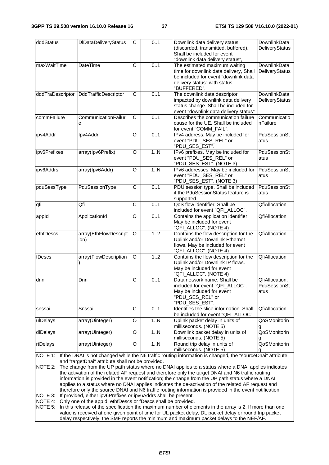| dddStatus                                                                                                                                                                                                                                                                     | <b>DIDataDeliveryStatus</b>   | C                     | 0.1 | Downlink data delivery status<br>(discarded, transmitted, buffered).<br>Shall be included for event<br>"downlink data delivery status",                        | DownlinkData<br>DeliveryStatus         |
|-------------------------------------------------------------------------------------------------------------------------------------------------------------------------------------------------------------------------------------------------------------------------------|-------------------------------|-----------------------|-----|----------------------------------------------------------------------------------------------------------------------------------------------------------------|----------------------------------------|
| maxWaitTime                                                                                                                                                                                                                                                                   | <b>DateTime</b>               | $\overline{\text{c}}$ | 0.1 | The estimated maximum waiting<br>time for downlink data delivery, Shall<br>be included for event "downlink data<br>delivery status" with status<br>"BUFFERED". | DownlinkData<br>DeliveryStatus         |
| dddTraDescriptor                                                                                                                                                                                                                                                              | DddTrafficDescriptor          | $\overline{C}$        | 0.1 | The downlink data descriptor<br>impacted by downlink data delivery<br>status change. Shall be included for<br>event "downlink data delivery status"            | <b>DownlinkData</b><br>DeliveryStatus  |
| commFailure                                                                                                                                                                                                                                                                   | CommunicationFailur<br>е      | $\overline{C}$        | 0.1 | Describes the communication failure<br>cause for the UE. Shall be included<br>for event "COMM_FAIL".                                                           | Communicatio<br>nFailure               |
| ipv4Addr                                                                                                                                                                                                                                                                      | Ipv4Addr                      | $\Omega$              | 0.1 | IPv4 address. May be included for<br>event "PDU_SES_REL" or<br>"PDU_SES_EST".                                                                                  | PduSessionSt<br>atus                   |
| ipv6Prefixes                                                                                                                                                                                                                                                                  | array(Ipv6Prefix)             | $\mathsf O$           | 1N  | IPv6 prefixes. May be included for<br>event "PDU_SES_REL" or<br>"PDU_SES_EST". (NOTE 3)                                                                        | PduSessionSt<br>atus                   |
| ipv6Addrs                                                                                                                                                                                                                                                                     | array(Ipv6Addr)               | $\circ$               | 1.N | IPv6 addresses. May be included for<br>event "PDU_SES_REL" or<br>"PDU_SES_EST". (NOTE 3)                                                                       | PduSessionSt<br>atus                   |
| pduSessType                                                                                                                                                                                                                                                                   | PduSessionType                | $\overline{\text{c}}$ | 0.1 | PDU session type. Shall be included<br>if the PduSessionStatus feature is<br>supported.                                                                        | <b>PduSessionSt</b><br>atus            |
| qfi                                                                                                                                                                                                                                                                           | Qfi                           | $\overline{\text{c}}$ | 0.1 | QoS flow identifier. Shall be<br>included for event "QFI_ALLOC".                                                                                               | QfiAllocation                          |
| appld                                                                                                                                                                                                                                                                         | ApplicationId                 | O                     | 0.1 | Contains the application identifier.<br>May be included for event<br>"QFI_ALLOC". (NOTE 4)                                                                     | QfiAllocation                          |
| ethfDescs                                                                                                                                                                                                                                                                     | array(EthFlowDescript<br>ion) | O                     | 1.2 | Contains the flow description for the<br>Uplink and/or Downlink Ethernet<br>flows. May be included for event<br>"QFI_ALLOC". (NOTE 4)                          | <b>QfiAllocation</b>                   |
| fDescs                                                                                                                                                                                                                                                                        | array(FlowDescription         | O                     | 1.2 | Contains the flow description for the<br>Uplink and/or Downlink IP flows.<br>May be included for event<br>"QFI_ALLOC". (NOTE 4)                                | <b>QfiAllocation</b>                   |
| dnn                                                                                                                                                                                                                                                                           | Dnn                           | $\overline{C}$        | 0.1 | Data network name, Shall be<br>included for event "QFI_ALLOC".<br>May be included for event<br>"PDU_SES_REL" or<br>"PDU_SES_EST".                              | QfiAllocation,<br>PduSessionSt<br>atus |
| snssai                                                                                                                                                                                                                                                                        | Snssai                        | C                     | 0.1 | Identifies the slice information. Shall<br>be included for event "QFI_ALLOC".                                                                                  | QfiAllocation                          |
| ulDelays                                                                                                                                                                                                                                                                      | array(Uinteger)               | O                     | 1N  | Uplink packet delay in units of<br>milliseconds. (NOTE 5)                                                                                                      | QoSMonitorin                           |
| dlDelays                                                                                                                                                                                                                                                                      | array(Uinteger)               | O                     | 1N  | Downlink packet delay in units of<br>milliseconds. (NOTE 5)                                                                                                    | QoSMonitorin                           |
| rtDelays                                                                                                                                                                                                                                                                      | array(Uinteger)               | O                     | 1N  | Round trip delay in units of<br>milliseconds. (NOTE 5)                                                                                                         | QoSMonitorin                           |
| If the DNAI is not changed while the N6 traffic routing information is changed, the "sourceDnai" attribute<br>NOTE 1:<br>and "targetDnai" attribute shall not be provided.<br>o obongo from the LID path atotus where no DNAL applies to a ototus where a DNAL applies indice |                               |                       |     |                                                                                                                                                                |                                        |

NOTE 2: The change from the UP path status where no DNAI applies to a status where a DNAI applies indicates the activation of the related AF request and therefore only the target DNAI and N6 traffic routing information is provided in the event notification; the change from the UP path status where a DNAI applies to a status where no DNAI applies indicates the de-activation of the related AF request and therefore only the source DNAI and N6 traffic routing information is provided in the event notification. NOTE 3: If provided, either ipv6Prefixes or ipv6Addrs shall be present.

NOTE 4: Only one of the appId, ethfDescs or fDescs shall be provided.

NOTE 5: In this release of the specification the maximum number of elements in the array is 2. If more than one value is received at one given point of time for UL packet delay, DL packet delay or round trip packet delay respectively, the SMF reports the minimum and maximum packet delays to the NEF/AF.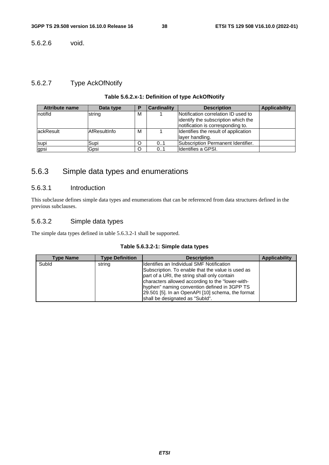5.6.2.6 void.

### 5.6.2.7 Type AckOfNotify

#### **Table 5.6.2.x-1: Definition of type AckOfNotify**

| <b>Attribute name</b> | Data type    | Ð | <b>Cardinality</b> | <b>Description</b>                   | Applicability |
|-----------------------|--------------|---|--------------------|--------------------------------------|---------------|
| notifid               | string       | м |                    | Notification correlation ID used to  |               |
|                       |              |   |                    | lidentify the subscription which the |               |
|                       |              |   |                    | notification is corresponding to.    |               |
| lackResult            | AfResultInfo | м |                    | Identifies the result of application |               |
|                       |              |   |                    | layer handling.                      |               |
| supi                  | Supi         | O | 01                 | Subscription Permanent Identifier.   |               |
| gpsi                  | Gpsi         | O | 0.1                | Ildentifies a GPSI.                  |               |

### 5.6.3 Simple data types and enumerations

#### 5.6.3.1 Introduction

This subclause defines simple data types and enumerations that can be referenced from data structures defined in the previous subclauses.

#### 5.6.3.2 Simple data types

The simple data types defined in table 5.6.3.2-1 shall be supported.

#### **Table 5.6.3.2-1: Simple data types**

| <b>Type Name</b> | <b>Type Definition</b> | <b>Description</b>                                | <b>Applicability</b> |
|------------------|------------------------|---------------------------------------------------|----------------------|
| Subld            | string                 | Identifies an Individual SMF Notification         |                      |
|                  |                        | Subscription. To enable that the value is used as |                      |
|                  |                        | part of a URI, the string shall only contain      |                      |
|                  |                        | characters allowed according to the "lower-with-  |                      |
|                  |                        | hyphen" naming convention defined in 3GPP TS      |                      |
|                  |                        | 29.501 [5]. In an OpenAPI [10] schema, the format |                      |
|                  |                        | shall be designated as "Subld".                   |                      |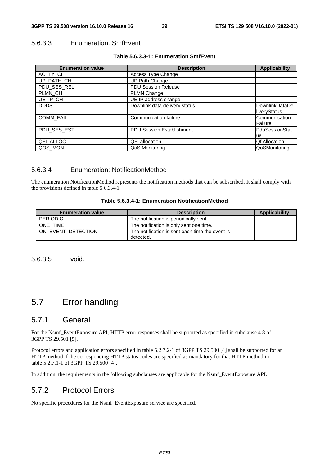#### 5.6.3.3 Enumeration: SmfEvent

| Table 5.6.3.3-1: Enumeration SmfEvent |  |  |
|---------------------------------------|--|--|
|---------------------------------------|--|--|

| <b>Enumeration value</b> | <b>Description</b>            | <b>Applicability</b>           |
|--------------------------|-------------------------------|--------------------------------|
| AC_TY_CH                 | Access Type Change            |                                |
| UP_PATH_CH               | UP Path Change                |                                |
| PDU_SES_REL              | <b>PDU Session Release</b>    |                                |
| PLMN_CH                  | <b>PLMN Change</b>            |                                |
| UE_IP_CH                 | UE IP address change          |                                |
| <b>DDDS</b>              | Downlink data delivery status | DownlinkDataDe<br>liveryStatus |
| <b>COMM_FAIL</b>         | Communication failure         | Communication<br>Failure       |
| PDU_SES_EST              | PDU Session Establishment     | PduSessionStat                 |
|                          |                               | <b>us</b>                      |
| QFI_ALLOC                | <b>QFI</b> allocation         | <b>QfiAllocation</b>           |
| QOS_MON                  | QoS Monitoring                | QoSMonitoring                  |

#### 5.6.3.4 Enumeration: NotificationMethod

The enumeration NotificationMethod represents the notification methods that can be subscribed. It shall comply with the provisions defined in table 5.6.3.4-1.

| Table 5.6.3.4-1: Enumeration NotificationMethod |  |
|-------------------------------------------------|--|
|-------------------------------------------------|--|

| <b>Enumeration value</b> | <b>Description</b>                                           | Applicability |
|--------------------------|--------------------------------------------------------------|---------------|
| <b>PERIODIC</b>          | The notification is periodically sent.                       |               |
| ONE TIME                 | The notification is only sent one time.                      |               |
| ON EVENT DETECTION       | The notification is sent each time the event is<br>detected. |               |

5.6.3.5 void.

### 5.7 Error handling

#### 5.7.1 General

For the Nsmf\_EventExposure API, HTTP error responses shall be supported as specified in subclause 4.8 of 3GPP TS 29.501 [5].

Protocol errors and application errors specified in table 5.2.7.2-1 of 3GPP TS 29.500 [4] shall be supported for an HTTP method if the corresponding HTTP status codes are specified as mandatory for that HTTP method in table 5.2.7.1-1 of 3GPP TS 29.500 [4].

In addition, the requirements in the following subclauses are applicable for the Nsmf\_EventExposure API.

### 5.7.2 Protocol Errors

No specific procedures for the Nsmf\_EventExposure service are specified.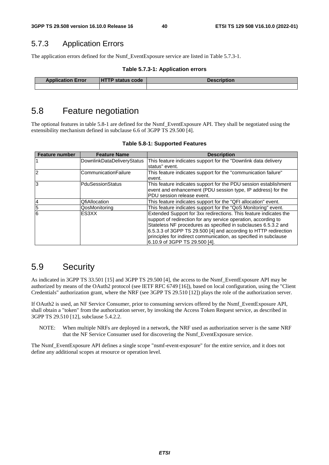### 5.7.3 Application Errors

The application errors defined for the Nsmf\_EventExposure service are listed in Table 5.7.3-1.

|  |  | Table 5.7.3-1: Application errors |  |
|--|--|-----------------------------------|--|
|--|--|-----------------------------------|--|

| <b>Application Error</b> | <b>HTTP status code</b> | <b>Description</b> |
|--------------------------|-------------------------|--------------------|
|                          |                         |                    |

### 5.8 Feature negotiation

The optional features in table 5.8-1 are defined for the Nsmf\_EventExposure API. They shall be negotiated using the extensibility mechanism defined in subclause 6.6 of 3GPP TS 29.500 [4].

| <b>Feature number</b> | <b>Feature Name</b>        | <b>Description</b>                                                |
|-----------------------|----------------------------|-------------------------------------------------------------------|
|                       | DownlinkDataDeliveryStatus | This feature indicates support for the "Downlink data delivery    |
|                       |                            | status" event.                                                    |
| $\mathcal{P}$         | ICommunicationFailure      | This feature indicates support for the "communication failure"    |
|                       |                            | levent.                                                           |
| 3                     | lPduSessionStatus          | This feature indicates support for the PDU session establishment  |
|                       |                            | event and enhancement (PDU session type, IP address) for the      |
|                       |                            | IPDU session release event.                                       |
| $\overline{4}$        | <b>QfiAllocation</b>       | This feature indicates support for the "QFI allocation" event.    |
| $\overline{5}$        | lQosMonitorina             | This feature indicates support for the "QoS Monitoring" event.    |
| 6                     | ES3XX                      | Extended Support for 3xx redirections. This feature indicates the |
|                       |                            | support of redirection for any service operation, according to    |
|                       |                            | Stateless NF procedures as specified in subclauses 6.5.3.2 and    |
|                       |                            | 6.5.3.3 of 3GPP TS 29.500 [4] and according to HTTP redirection   |
|                       |                            | principles for indirect communication, as specified in subclause  |
|                       |                            | 6.10.9 of 3GPP TS 29.500 [4].                                     |

**Table 5.8-1: Supported Features** 

### 5.9 Security

As indicated in 3GPP TS 33.501 [15] and 3GPP TS 29.500 [4], the access to the Nsmf\_EventExposure API may be authorized by means of the OAuth2 protocol (see IETF RFC 6749 [16]), based on local configuration, using the "Client Credentials" authorization grant, where the NRF (see 3GPP TS 29.510 [12]) plays the role of the authorization server.

If OAuth2 is used, an NF Service Consumer, prior to consuming services offered by the Nsmf\_EventExposure API, shall obtain a "token" from the authorization server, by invoking the Access Token Request service, as described in 3GPP TS 29.510 [12], subclause 5.4.2.2.

NOTE: When multiple NRFs are deployed in a network, the NRF used as authorization server is the same NRF that the NF Service Consumer used for discovering the Nsmf\_EventExposure service.

The Nsmf\_EventExposure API defines a single scope "nsmf-event-exposure" for the entire service, and it does not define any additional scopes at resource or operation level.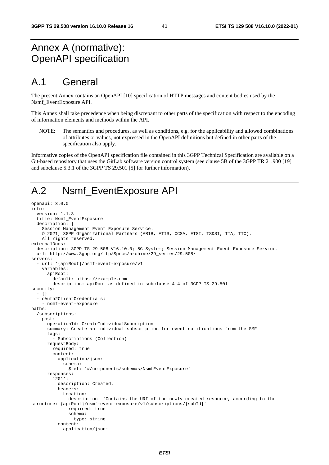## Annex A (normative): OpenAPI specification

### A.1 General

The present Annex contains an OpenAPI [10] specification of HTTP messages and content bodies used by the Nsmf\_EventExposure API.

This Annex shall take precedence when being discrepant to other parts of the specification with respect to the encoding of information elements and methods within the API.

NOTE: The semantics and procedures, as well as conditions, e.g. for the applicability and allowed combinations of attributes or values, not expressed in the OpenAPI definitions but defined in other parts of the specification also apply.

Informative copies of the OpenAPI specification file contained in this 3GPP Technical Specification are available on a Git-based repository that uses the GitLab software version control system (see clause 5B of the 3GPP TR 21.900 [19] and subclause 5.3.1 of the 3GPP TS 29.501 [5] for further information).

## A.2 Nsmf\_EventExposure API

```
openapi: 3.0.0 
info: 
   version: 1.1.3 
   title: Nsmf_EventExposure 
  description:
     Session Management Event Exposure Service. 
     © 2021, 3GPP Organizational Partners (ARIB, ATIS, CCSA, ETSI, TSDSI, TTA, TTC). 
     All rights reserved. 
externalDocs: 
   description: 3GPP TS 29.508 V16.10.0; 5G System; Session Management Event Exposure Service. 
   url: http://www.3gpp.org/ftp/Specs/archive/29_series/29.508/ 
servers: 
   - url: '{apiRoot}/nsmf-event-exposure/v1' 
     variables: 
       apiRoot: 
         default: https://example.com 
         description: apiRoot as defined in subclause 4.4 of 3GPP TS 29.501 
security: 
   - {} 
   - oAuth2ClientCredentials: 
     - nsmf-event-exposure 
paths: 
   /subscriptions: 
     post: 
       operationId: CreateIndividualSubcription 
       summary: Create an individual subscription for event notifications from the SMF 
       tags: 
          - Subscriptions (Collection) 
       requestBody: 
         required: true 
         content: 
           application/json: 
              schema: 
                $ref: '#/components/schemas/NsmfEventExposure' 
       responses: 
          '201': 
           description: Created. 
           headers: 
              Location: 
                description: 'Contains the URI of the newly created resource, according to the 
structure: {apiRoot}/nsmf-event-exposure/v1/subscriptions/{subId}' 
                required: true 
                schema: 
                  type: string 
           content: 
              application/json:
```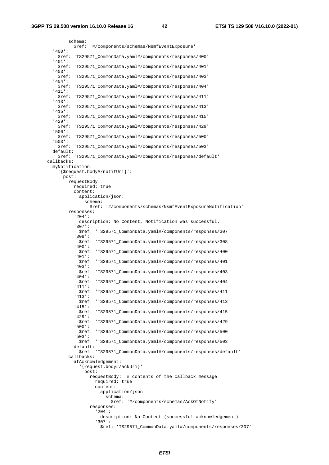```
 schema: 
           $ref: '#/components/schemas/NsmfEventExposure' 
   '400': 
     $ref: 'TS29571_CommonData.yaml#/components/responses/400' 
   '401': 
     $ref: 'TS29571_CommonData.yaml#/components/responses/401' 
   '403': 
     $ref: 'TS29571_CommonData.yaml#/components/responses/403' 
   '404': 
     $ref: 'TS29571_CommonData.yaml#/components/responses/404' 
   '411': 
     $ref: 'TS29571_CommonData.yaml#/components/responses/411' 
   '413': 
     $ref: 'TS29571_CommonData.yaml#/components/responses/413' 
   '415': 
     $ref: 'TS29571_CommonData.yaml#/components/responses/415' 
   '429': 
     $ref: 'TS29571_CommonData.yaml#/components/responses/429' 
   '500': 
     $ref: 'TS29571_CommonData.yaml#/components/responses/500' 
   '503': 
     $ref: 'TS29571_CommonData.yaml#/components/responses/503' 
   default: 
     $ref: 'TS29571_CommonData.yaml#/components/responses/default' 
 callbacks: 
   myNotification: 
     '{$request.body#/notifUri}': 
       post: 
         requestBody: 
           required: true 
           content: 
             application/json: 
                schema: 
                  $ref: '#/components/schemas/NsmfEventExposureNotification' 
         responses: 
            '204': 
             description: No Content, Notification was successful. 
            '307': 
             $ref: 'TS29571_CommonData.yaml#/components/responses/307' 
            '308': 
              $ref: 'TS29571_CommonData.yaml#/components/responses/308' 
            '400': 
             $ref: 'TS29571_CommonData.yaml#/components/responses/400' 
            '401': 
              $ref: 'TS29571_CommonData.yaml#/components/responses/401' 
            '403': 
             $ref: 'TS29571_CommonData.yaml#/components/responses/403' 
            '404': 
              $ref: 'TS29571_CommonData.yaml#/components/responses/404' 
            '411': 
             $ref: 'TS29571_CommonData.yaml#/components/responses/411' 
            '413': 
              $ref: 'TS29571_CommonData.yaml#/components/responses/413' 
            '415': 
             $ref: 'TS29571_CommonData.yaml#/components/responses/415' 
            '429': 
             $ref: 'TS29571_CommonData.yaml#/components/responses/429' 
            '500': 
              $ref: 'TS29571_CommonData.yaml#/components/responses/500' 
            '503': 
              $ref: 'TS29571_CommonData.yaml#/components/responses/503' 
           default: 
              $ref: 'TS29571_CommonData.yaml#/components/responses/default' 
         callbacks: 
           afAcknowledgement: 
              '{request.body#/ackUri}': 
                post: 
                  requestBody: # contents of the callback message 
                    required: true 
                    content: 
                      application/json: 
                        schema: 
                          $ref: '#/components/schemas/AckOfNotify' 
                  responses: 
                     '204': 
                      description: No Content (successful acknowledgement) 
                     '307': 
                      $ref: 'TS29571_CommonData.yaml#/components/responses/307'
```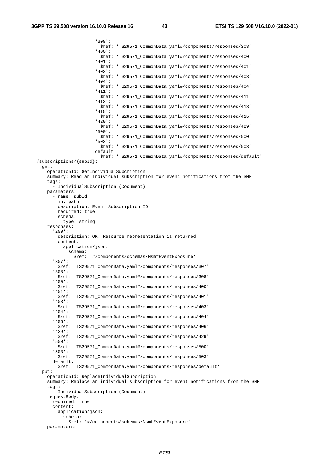'308': \$ref: 'TS29571\_CommonData.yaml#/components/responses/308' '400': \$ref: 'TS29571\_CommonData.yaml#/components/responses/400' '401': \$ref: 'TS29571\_CommonData.yaml#/components/responses/401' '403': \$ref: 'TS29571\_CommonData.yaml#/components/responses/403' '404': \$ref: 'TS29571\_CommonData.yaml#/components/responses/404' '411': \$ref: 'TS29571\_CommonData.yaml#/components/responses/411' '413': \$ref: 'TS29571\_CommonData.yaml#/components/responses/413' '415': \$ref: 'TS29571\_CommonData.yaml#/components/responses/415' '429': \$ref: 'TS29571\_CommonData.yaml#/components/responses/429' '500': \$ref: 'TS29571\_CommonData.yaml#/components/responses/500' '503': \$ref: 'TS29571\_CommonData.yaml#/components/responses/503' default: \$ref: 'TS29571\_CommonData.yaml#/components/responses/default' /subscriptions/{subId}: get: operationId: GetIndividualSubcription summary: Read an individual subscription for event notifications from the SMF tags: - IndividualSubscription (Document) parameters: - name: subId in: path description: Event Subscription ID required: true schema: type: string responses: '200': description: OK. Resource representation is returned content: application/json: schema: \$ref: '#/components/schemas/NsmfEventExposure' '307': \$ref: 'TS29571\_CommonData.yaml#/components/responses/307' '308': \$ref: 'TS29571\_CommonData.yaml#/components/responses/308' '400': \$ref: 'TS29571\_CommonData.yaml#/components/responses/400' '401': \$ref: 'TS29571\_CommonData.yaml#/components/responses/401' '403': \$ref: 'TS29571\_CommonData.yaml#/components/responses/403' '404': \$ref: 'TS29571\_CommonData.yaml#/components/responses/404' '406': \$ref: 'TS29571\_CommonData.yaml#/components/responses/406' '429': \$ref: 'TS29571\_CommonData.yaml#/components/responses/429' '500': \$ref: 'TS29571\_CommonData.yaml#/components/responses/500' '503': \$ref: 'TS29571\_CommonData.yaml#/components/responses/503' default: \$ref: 'TS29571\_CommonData.yaml#/components/responses/default' put: operationId: ReplaceIndividualSubcription summary: Replace an individual subscription for event notifications from the SMF tags: - IndividualSubscription (Document) requestBody: required: true content: application/json: schema: \$ref: '#/components/schemas/NsmfEventExposure' parameters: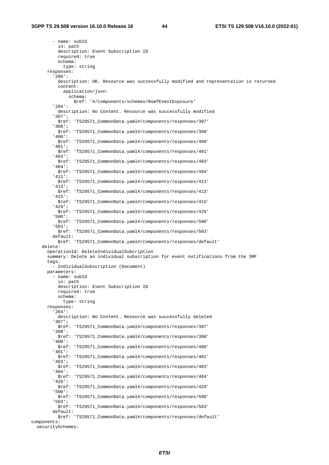- name: subId in: path description: Event Subscription ID required: true schema: type: string responses: '200': description: OK. Resource was successfully modified and representation is returned content: application/json: schema: \$ref: '#/components/schemas/NsmfEventExposure' '204': description: No Content. Resource was successfully modified '307': \$ref: 'TS29571\_CommonData.yaml#/components/responses/307' '308': \$ref: 'TS29571\_CommonData.yaml#/components/responses/308' '400': \$ref: 'TS29571\_CommonData.yaml#/components/responses/400' '401': \$ref: 'TS29571\_CommonData.yaml#/components/responses/401' '403': \$ref: 'TS29571\_CommonData.yaml#/components/responses/403' '404': \$ref: 'TS29571\_CommonData.yaml#/components/responses/404' '411': \$ref: 'TS29571\_CommonData.yaml#/components/responses/411' '413': \$ref: 'TS29571\_CommonData.yaml#/components/responses/413' '415': \$ref: 'TS29571\_CommonData.yaml#/components/responses/415' '429': \$ref: 'TS29571\_CommonData.yaml#/components/responses/429' '500': \$ref: 'TS29571\_CommonData.yaml#/components/responses/500' '503': \$ref: 'TS29571\_CommonData.yaml#/components/responses/503' default: \$ref: 'TS29571\_CommonData.yaml#/components/responses/default' delete: operationId: DeleteIndividualSubcription summary: Delete an individual subscription for event notifications from the SMF tags: - IndividualSubscription (Document) parameters: - name: subId in: path description: Event Subscription ID required: true schema: type: string responses: '204': description: No Content. Resource was successfully deleted '307': \$ref: 'TS29571\_CommonData.yaml#/components/responses/307' '308': \$ref: 'TS29571\_CommonData.yaml#/components/responses/308' '400': \$ref: 'TS29571\_CommonData.yaml#/components/responses/400' '401': \$ref: 'TS29571\_CommonData.yaml#/components/responses/401' '403': \$ref: 'TS29571\_CommonData.yaml#/components/responses/403' '404': \$ref: 'TS29571\_CommonData.yaml#/components/responses/404' '429': \$ref: 'TS29571\_CommonData.yaml#/components/responses/429' '500': \$ref: 'TS29571\_CommonData.yaml#/components/responses/500' '503': \$ref: 'TS29571\_CommonData.yaml#/components/responses/503' default: \$ref: 'TS29571\_CommonData.yaml#/components/responses/default' components:

securitySchemes: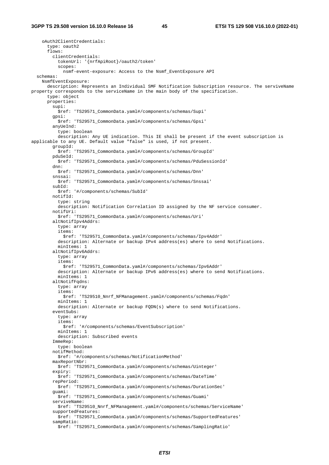oAuth2ClientCredentials: type: oauth2 flows: clientCredentials: tokenUrl: '{nrfApiRoot}/oauth2/token' scopes: nsmf-event-exposure: Access to the Nsmf\_EventExposure API schemas: NsmfEventExposure: description: Represents an Individual SMF Notification Subscription resource. The serviveName property corresponds to the serviceName in the main body of the specification. type: object properties: supi: \$ref: 'TS29571\_CommonData.yaml#/components/schemas/Supi' gpsi: \$ref: 'TS29571\_CommonData.yaml#/components/schemas/Gpsi' anyUeInd: type: boolean description: Any UE indication. This IE shall be present if the event subscription is applicable to any UE. Default value "false" is used, if not present. groupId: \$ref: 'TS29571\_CommonData.yaml#/components/schemas/GroupId' pduSeId: \$ref: 'TS29571\_CommonData.yaml#/components/schemas/PduSessionId' dnn: \$ref: 'TS29571\_CommonData.yaml#/components/schemas/Dnn' snssai: \$ref: 'TS29571\_CommonData.yaml#/components/schemas/Snssai' subId: \$ref: '#/components/schemas/SubId' notifId: type: string description: Notification Correlation ID assigned by the NF service consumer. notifUri: \$ref: 'TS29571\_CommonData.yaml#/components/schemas/Uri' altNotifIpv4Addrs: type: array items: \$ref: 'TS29571\_CommonData.yaml#/components/schemas/Ipv4Addr' description: Alternate or backup IPv4 address(es) where to send Notifications. minItems: 1 altNotifIpv6Addrs: type: array items: \$ref: 'TS29571\_CommonData.yaml#/components/schemas/Ipv6Addr' description: Alternate or backup IPv6 address(es) where to send Notifications. minItems: 1 altNotifFqdns: type: array items: \$ref: 'TS29510\_Nnrf\_NFManagement.yaml#/components/schemas/Fqdn' minItems: 1 description: Alternate or backup FQDN(s) where to send Notifications. eventSubs: type: array items: \$ref: '#/components/schemas/EventSubscription' minItems: 1 description: Subscribed events ImmeRep: type: boolean notifMethod: \$ref: '#/components/schemas/NotificationMethod' maxReportNbr: \$ref: 'TS29571\_CommonData.yaml#/components/schemas/Uinteger' expiry: \$ref: 'TS29571\_CommonData.yaml#/components/schemas/DateTime' repPeriod: \$ref: 'TS29571\_CommonData.yaml#/components/schemas/DurationSec' guami: \$ref: 'TS29571\_CommonData.yaml#/components/schemas/Guami' serviveName: \$ref: 'TS29510\_Nnrf\_NFManagement.yaml#/components/schemas/ServiceName' supportedFeatures: \$ref: 'TS29571\_CommonData.yaml#/components/schemas/SupportedFeatures' sampRatio: \$ref: 'TS29571\_CommonData.yaml#/components/schemas/SamplingRatio'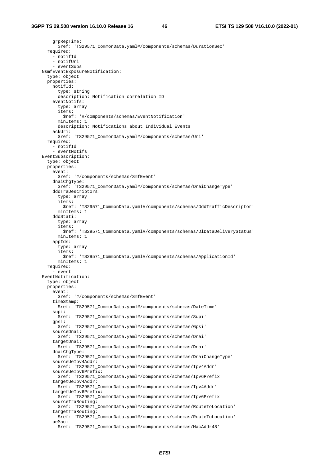grpRepTime: \$ref: 'TS29571\_CommonData.yaml#/components/schemas/DurationSec' required: - notifId - notifUri - eventSubs NsmfEventExposureNotification: type: object properties: notifId: type: string description: Notification correlation ID eventNotifs: type: array items: \$ref: '#/components/schemas/EventNotification' minItems: 1 description: Notifications about Individual Events ackUri: \$ref: 'TS29571\_CommonData.yaml#/components/schemas/Uri' required: - notifId - eventNotifs EventSubscription: type: object properties: event: \$ref: '#/components/schemas/SmfEvent' dnaiChgType: \$ref: 'TS29571\_CommonData.yaml#/components/schemas/DnaiChangeType' dddTraDescriptors: type: array items: \$ref: 'TS29571\_CommonData.yaml#/components/schemas/DddTrafficDescriptor' minItems: 1 dddStati: type: array items: \$ref: 'TS29571\_CommonData.yaml#/components/schemas/DlDataDeliveryStatus' minItems: 1 appIds: type: array items: \$ref: 'TS29571\_CommonData.yaml#/components/schemas/ApplicationId' minItems: 1 required: - event EventNotification: type: object properties: event: \$ref: '#/components/schemas/SmfEvent' timeStamp: \$ref: 'TS29571\_CommonData.yaml#/components/schemas/DateTime' supi: \$ref: 'TS29571\_CommonData.yaml#/components/schemas/Supi' gpsi: \$ref: 'TS29571\_CommonData.yaml#/components/schemas/Gpsi' sourceDnai: \$ref: 'TS29571\_CommonData.yaml#/components/schemas/Dnai' targetDnai: \$ref: 'TS29571\_CommonData.yaml#/components/schemas/Dnai' dnaiChgType: \$ref: 'TS29571\_CommonData.yaml#/components/schemas/DnaiChangeType' sourceUeIpv4Addr: \$ref: 'TS29571\_CommonData.yaml#/components/schemas/Ipv4Addr' sourceUeIpv6Prefix: \$ref: 'TS29571\_CommonData.yaml#/components/schemas/Ipv6Prefix' targetUeIpv4Addr: \$ref: 'TS29571\_CommonData.yaml#/components/schemas/Ipv4Addr' targetUeIpv6Prefix: \$ref: 'TS29571\_CommonData.yaml#/components/schemas/Ipv6Prefix' sourceTraRouting: \$ref: 'TS29571\_CommonData.yaml#/components/schemas/RouteToLocation' targetTraRouting: \$ref: 'TS29571\_CommonData.yaml#/components/schemas/RouteToLocation' ueMac: \$ref: 'TS29571\_CommonData.yaml#/components/schemas/MacAddr48'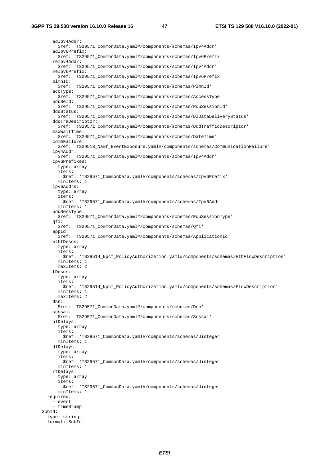adIpv4Addr: \$ref: 'TS29571\_CommonData.yaml#/components/schemas/Ipv4Addr' adIpv6Prefix: \$ref: 'TS29571\_CommonData.yaml#/components/schemas/Ipv6Prefix' reIpv4Addr: \$ref: 'TS29571\_CommonData.yaml#/components/schemas/Ipv4Addr' reIpv6Prefix: \$ref: 'TS29571\_CommonData.yaml#/components/schemas/Ipv6Prefix' plmnId: \$ref: 'TS29571\_CommonData.yaml#/components/schemas/PlmnId' accType: \$ref: 'TS29571\_CommonData.yaml#/components/schemas/AccessType' pduSeId: \$ref: 'TS29571\_CommonData.yaml#/components/schemas/PduSessionId' dddStatus: \$ref: 'TS29571\_CommonData.yaml#/components/schemas/DlDataDeliveryStatus' dddTraDescriptor: \$ref: 'TS29571\_CommonData.yaml#/components/schemas/DddTrafficDescriptor' maxWaitTime: \$ref: 'TS29571\_CommonData.yaml#/components/schemas/DateTime' commFailure: \$ref: 'TS29518\_Namf\_EventExposure.yaml#/components/schemas/CommunicationFailure' ipv4Addr: \$ref: 'TS29571\_CommonData.yaml#/components/schemas/Ipv4Addr' ipv6Prefixes: type: array items: \$ref: 'TS29571\_CommonData.yaml#/components/schemas/Ipv6Prefix' minItems: 1 ipv6Addrs: type: array items: \$ref: 'TS29571\_CommonData.yaml#/components/schemas/Ipv6Addr' minItems: 1 pduSessType: \$ref: 'TS29571\_CommonData.yaml#/components/schemas/PduSessionType' qfi: \$ref: 'TS29571\_CommonData.yaml#/components/schemas/Qfi' appId: \$ref: 'TS29571\_CommonData.yaml#/components/schemas/ApplicationId' ethfDescs: type: array items: \$ref: 'TS29514\_Npcf\_PolicyAuthorization.yaml#/components/schemas/EthFlowDescription' minItems: 1 maxItems: 2 fDescs: type: array items: \$ref: 'TS29514\_Npcf\_PolicyAuthorization.yaml#/components/schemas/FlowDescription' minItems: 1 maxItems: 2 dnn: \$ref: 'TS29571\_CommonData.yaml#/components/schemas/Dnn' snssai: \$ref: 'TS29571\_CommonData.yaml#/components/schemas/Snssai' ulDelays: type: array items: \$ref: 'TS29571\_CommonData.yaml#/components/schemas/Uinteger' minItems: 1 dlDelays: type: array items: \$ref: 'TS29571\_CommonData.yaml#/components/schemas/Uinteger' minItems: 1 rtDelays: type: array items: \$ref: 'TS29571\_CommonData.yaml#/components/schemas/Uinteger' minItems: 1 required: - event - timeStamp SubId: type: string format: SubId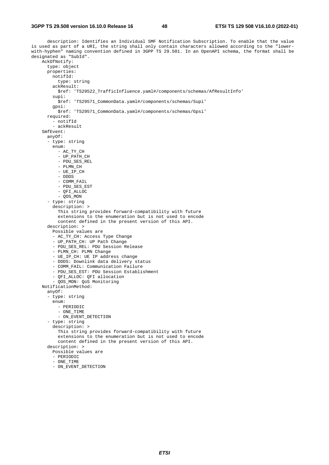description: Identifies an Individual SMF Notification Subscription. To enable that the value is used as part of a URI, the string shall only contain characters allowed according to the "lowerwith-hyphen" naming convention defined in 3GPP TS 29.501. In an OpenAPI schema, the format shall be designated as "SubId". AckOfNotify: type: object properties: notifId: type: string ackResult: \$ref: 'TS29522\_TrafficInfluence.yaml#/components/schemas/AfResultInfo' supi: \$ref: 'TS29571\_CommonData.yaml#/components/schemas/Supi' gpsi: \$ref: 'TS29571\_CommonData.yaml#/components/schemas/Gpsi' required: - notifId - ackResult SmfEvent: anyOf: - type: string enum: - AC\_TY\_CH - UP\_PATH\_CH - PDU\_SES\_REL - PLMN\_CH - UE\_IP\_CH - DDDS - COMM\_FAIL - PDU\_SES\_EST  $-$  OFT ALLOC - QOS\_MON - type: string description: > This string provides forward-compatibility with future extensions to the enumeration but is not used to encode content defined in the present version of this API. description: > Possible values are - AC\_TY\_CH: Access Type Change - UP\_PATH\_CH: UP Path Change - PDU SES REL: PDU Session Release - PLMN CH: PLMN Change - UE\_IP\_CH: UE IP address change - DDDS: Downlink data delivery status - COMM\_FAIL: Communication Failure - PDU\_SES\_EST: PDU Session Establishment - QFI\_ALLOC: QFI allocation - QOS\_MON: QoS Monitoring NotificationMethod: anyOf: - type: string enum: - PERIODIC - ONE\_TIME - ON EVENT DETECTION - type: string description: > This string provides forward-compatibility with future extensions to the enumeration but is not used to encode content defined in the present version of this API. description: > Possible values are - PERIODIC  $-$  ONE TIME

- ON EVENT DETECTION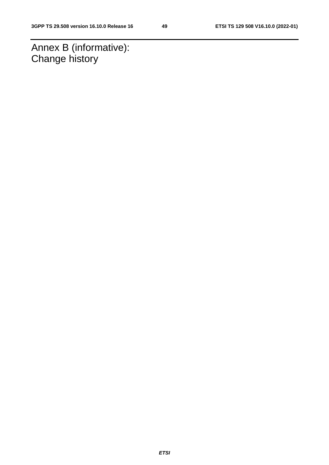Annex B (informative): Change history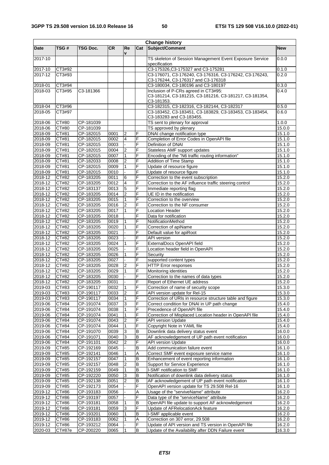$\mathbf{r}$ 

L,

|                    |                |                        |              |                     |        | <b>Change history</b>                                                     |                  |
|--------------------|----------------|------------------------|--------------|---------------------|--------|---------------------------------------------------------------------------|------------------|
| Date               | TSG#           | <b>TSG Doc.</b>        | <b>CR</b>    | Re<br>v             | Cat    | Subject/Comment                                                           | <b>New</b>       |
| 2017-10            |                |                        |              |                     |        | TS skeleton of Session Management Event Exposure Service<br>specification | 0.0.0            |
| 2017-10            | CT3#92         |                        |              |                     |        | C3-175326, C3-175327 and C3-175281                                        | 0.1.0            |
| $2017 - 12$        | CT3#93         |                        |              |                     |        | C3-176071, C3-176240, C3-176316, C3-176242, C3-176243,                    | 0.2.0            |
|                    |                |                        |              |                     |        | C3-176244, C3-176317 and C3-176318                                        |                  |
| 2018-01            | CT3#94         |                        |              |                     |        | C3-180034, C3-180196 and C3-180197                                        | 0.3.0            |
| 2018-03            | CT3#95         | C3-181366              |              |                     |        | Inclusion of P-CRs agreed in CT3#95:                                      | 0.4.0            |
|                    |                |                        |              |                     |        | C3-181214, C3-181215, C3-181216, C3-181217, C3-181354,                    |                  |
|                    |                |                        |              |                     |        | C3-181353.                                                                |                  |
| 2018-04            | CT3#96         |                        |              |                     |        | C3-182315, C3-182316, C3-182144, C3-182317                                | 0.5.0            |
| 2018-05            | CT3#97         |                        |              |                     |        | C3-183452, C3-183451, C3-183829, C3-183453, C3-183454,                    | 0.6.0            |
| 2018-06            | CT#80          | CP-181039              |              |                     |        | C3-183283 and C3-183455.<br>TS sent to plenary for approval               | 1.0.0            |
| 2018-06            | CT#80          | CP-181039              |              |                     |        | TS approved by plenary                                                    | 15.0.0           |
| 2018-09            | CT#81          | CP-182015              | 0001         | 2                   | F      | DNAI change notification type                                             | 15.1.0           |
| 2018-09            | CT#81          | CP-182015              | 0002         | 4                   | F      | Completion of Error Codes in OpenAPI file                                 | 15.1.0           |
| 2018-09            | CT#81          | CP-182015              | 0003         |                     | F      | Definition of DNAI                                                        | 15.1.0           |
| 2018-09            | CT#81          | CP-182015              | 0004         | 2                   | F      | Stateless AMF support updates                                             | 15.1.0           |
| 2018-09            | CT#81          | CP-182015              | 0007         | $\mathbf{1}$        | F      | Encoding of the "N6 traffic routing information"                          | 15.1.0           |
| 2018-09            | CT#81          | CP-182033              | 0008         | $\overline{2}$      | F      | Addition of Time Stamp                                                    | 15.1.0           |
| 2018-09            | CT#81          | CP-182015              | 0009         | $\mathbf{1}$        | F      | Update of resource figure                                                 | 15.1.0           |
| 2018-09            | CT#81          | $CF-182015$            | 0010         |                     | F      | Update of resource figure                                                 | 15.1.0           |
| 2018-12            | CT#82          | CP-183205              | 0011         | 6                   | F      | Correction to the event subscription                                      | 15.2.0           |
| 2018-12            | CT#82          | CP-183205              | 0012         | $\overline{4}$      | F      | Correction to the AF influence traffic steering control                   | 15.2.0           |
| 2018-12            | CT#82          | CP-183137              | 0013         | 5                   | F      | Immediate reporting flag                                                  | 15.2.0           |
| 2018-12            | CT#82          | CP-183205              | 0014         | $\overline{2}$      | F      | UE ID in the notification                                                 | 15.2.0           |
| $2018 - 12$        | CT#82          | CP-183205              | 0015         | 11                  | F      | Correction to the overview                                                | 15.2.0           |
| 2018-12            | CT#82          | CP-183205              | 0016         | 2                   | F      | Correction to the NF consumer                                             | 15.2.0           |
| 2018-12            | CT#82          | CP-183205              | 0017         | $\overline{1}$      | F      | <b>Location Header</b>                                                    | 15.2.0           |
| 2018-12            | CT#82          | CP-183205              | 0018         |                     | F      | Data for notification                                                     | 15.2.0           |
| 2018-12            | CT#82          | CP-183205              | 0019         | $\overline{1}$      | F      | NotificationMethod                                                        | 15.2.0           |
| 2018-12            | CT#82<br>CT#82 | CP-183205              | 0020         |                     | F<br>F | Correction of apiName                                                     | 15.2.0           |
| 2018-12<br>2018-12 | CT#82          | CP-183205<br>CP-183205 | 0021<br>0023 |                     | F      | Default value for apiRoot<br><b>API</b> version                           | 15.2.0<br>15.2.0 |
| 2018-12            | CT#82          | CP-183205              | 0024         |                     | F      | ExternalDocs OpenAPI field                                                | 15.2.0           |
| 2018-12            | CT#82          | CP-183205              | 0025         |                     | F      | Location header field in OpenAPI                                          | 15.2.0           |
| 2018-12            | CT#82          | CP-183205              | 0026         | $\overline{1}$      | F      | Security                                                                  | 15.2.0           |
| $2018 - 12$        | CT#82          | CP-183205              | 0027         |                     | F      | supported content types                                                   | 15.2.0           |
| 2018-12            | CT#82          | CP-183205              | 0028         | $\overline{2}$      | F      | <b>HTTP</b> Error responses                                               | 15.2.0           |
| 2018-12            | CT#82          | CP-183205              | 0029         | $\overline{1}$      | F      | Monitoring identities                                                     | 15.2.0           |
| 2018-12            | CT#82          | CP-183205              | 0030         |                     | F      | Correction to the names of data types                                     | 15.2.0           |
| 2018-12            | CT#82          | CP-183205              | 0031         |                     | F      | Report of Ethernet UE address                                             | 15.2.0           |
| 2019-03            | CT#83          | CP-190117              | 0032         | 1                   | F      | Correction of name of security scope                                      | 15.3.0           |
| 2019-03            | CT#83          | CP-190117              | 0033         | $\overline{2}$      | F      | API version update for Rel-15                                             | 15.3.0           |
| 2019-03            | CT#83          | CP-190117              | 0034         | $\mathbf{1}$        | F      | Correction of URIs in resource structure table and figure                 | 15.3.0           |
| 2019-06            | CT#84          | CP-191074              | 0037         | 3                   | F      | Correct condition for DNAI in UP path change                              | 15.4.0           |
| 2019-06            | CT#84          | CP-191074              | 0038         | $\overline{1}$      | F      | Precedence of OpenAPI file                                                | 15.4.0           |
| 2019-06            | CT#84          | CP-191074              | 0041         | $\overline{1}$      | F      | Correction of Misplaced Location header in OpenAPI file                   | 15.4.0           |
| 2019-06            | CT#84          | CP-191074              | 0043         | $\overline{2}$      | F      | API version Update                                                        | 15.4.0           |
| 2019-06            | CT#84          | CP-191074              | 0044         | $\overline{1}$      | F      | Copyright Note in YAML file                                               | 15.4.0           |
| 2019-06            | CT#84          | CP-191070              | 0039         | 3                   | В      | Downlink data delivery status event                                       | 16.0.0           |
| 2019-06            | CT#84          | CP-191071              | 0040         | 3                   | в      | AF acknowledgement of UP path event notification                          | 16.0.0           |
| 2019-06            | CT#84          | CP-191101              | 0042         | $\overline{2}$      | F      | API version Update                                                        | 16.0.0           |
| 2019-09            | CT#85          | CP-192169              | 0045         |                     | B      | Add communication failure event                                           | 16.1.0           |
| 2019-09            | CT#85          | CP-192141              | 0046         | 1<br>$\overline{1}$ | Α      | Correct SMF event exposure service name                                   | 16.1.0           |
| 2019-09            | CT#85          | CP-192157              | 0047         | $\overline{2}$      | В      | Enhancement of event reporting information                                | 16.1.0           |
| 2019-09<br>2019-09 | CT#85<br>CT#85 | CP-192157<br>CP-192159 | 0048<br>0049 | $\overline{1}$      | B<br>В | <b>Support for Service Experience</b><br>I-SMF notification to SMF        | 16.1.0<br>16.1.0 |
| 2019-09            | CT#85          | CP-192220              | 0050         | 3                   | в      | Notification of downlink data delivery status                             | 16.1.0           |
| 2019-09            | CT#85          | CP-192138              | 0051         | $\overline{c}$      | В      | AF acknowledgement of UP path event notification                          | 16.1.0           |
| 2019-09            | CT#85          | CP-192173              | 0054         |                     | F      | OpenAPI version update for TS 29.508 Rel-16                               | 16.1.0           |
| 2019-12            | CT#86          | CP-193183              | 0056         |                     | Α      | Usage of the "serviveName" attribute                                      | 16.2.0           |
| 2019-12            | CT#86          | CP-193197              | 0057         |                     | F      | Data type of the "serviceName" attribute                                  | 16.2.0           |
| 2019-12            | CT#86          | CP-193181              | 0058         | 1                   | В      | OpenAPI file update to support AF acknowledgement                         | 16.2.0           |
| 2019-12            | CT#86          | CP-193181              | 0059         | 3                   | F      | Update of AFRelocationAck feature                                         | 16.2.0           |
| 2019-12            | CT#86          | CP-193201              | 0060         | $\overline{1}$      | B      | I-SMF applicable event                                                    | 16.2.0           |
| 2019-12            | CT#86          | CP-193183              | 0062         |                     | Α      | Correction on 307 error, 29.508                                           | 16.2.0           |
| 2019-12            | CT#86          | CP-193212              | 0064         |                     | F      | Update of API version and TS version in OpenAPI file                      | 16.2.0           |
| 2020-03            | CT#87e         | CP-200220              | 0065         | $\mathbf{1}$        | B      | Update of the Availability after DDN Failure event                        | 16.3.0           |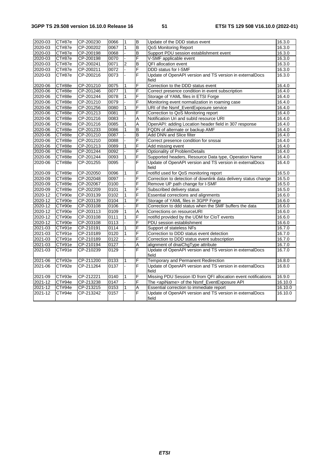| 2020-03     | CT#87e        | CP-200230 | 0066 | $\mathbf{1}$   | $\overline{B}$          | Update of the DDD status event                                    | 16.3.0  |
|-------------|---------------|-----------|------|----------------|-------------------------|-------------------------------------------------------------------|---------|
| 2020-03     | CT#87e        | CP-200202 | 0067 | $\overline{1}$ | $\overline{\mathsf{B}}$ | QoS Monitoring Report                                             | 16.3.0  |
| 2020-03     | CT#87e        | CP-200198 | 0068 |                | $\overline{B}$          | Support PDU session establishment event                           | 16.3.0  |
| 2020-03     | CT#87e        | CP-200198 | 0070 |                | F                       | V-SMF applicable event                                            | 16.3.0  |
| 2020-03     | CT#87e        | CP-200241 | 0071 | $\overline{2}$ | B                       | QFI allocation event                                              | 16.3.0  |
| 2020-03     | CT#87e        | CP-200211 | 0072 |                | F                       | DDD status for I-SMF                                              | 16.3.0  |
| 2020-03     | CT#87e        | CP-200216 | 0073 |                | F                       | Update of OpenAPI version and TS version in externalDocs<br>field | 16.3.0  |
| 2020-06     | CT#88e        | CP-201210 | 0075 | $\overline{1}$ | F                       | Correction to the DDD status event                                | 16.4.0  |
| 2020-06     | CT#88e        | CP-201246 | 0077 | $\overline{1}$ | F                       | Correct presence condition in event subscription                  | 16.4.0  |
| 2020-06     | CT#88e        | CP-201244 | 0078 | $\overline{1}$ | F                       | Storage of YAML files in ETSI Forge                               | 16.4.0  |
| 2020-06     | CT#88e        | CP-201210 | 0079 |                | F                       | Monitoring event normalization in roaming case                    | 16.4.0  |
| 2020-06     | CT#88e        | CP-201256 | 0080 | $\mathbf{1}$   | F                       | URI of the Nsmf_EventExposure service                             | 16.4.0  |
| 2020-06     | CT#88e        | CP-201213 | 0081 | $\mathbf{1}$   | F                       | Correction to QoS Monitoring report                               | 16.4.0  |
| 2020-06     | CT#88e        | CP-201216 | 0083 |                | А                       | Notification Uri and subld resource URI                           | 16.4.0  |
| 2020-06     | CT#88e        | CP-201216 | 0085 | $\mathbf{1}$   | A                       | OpenAPI: adding Location header field in 307 response             | 16.4.0  |
| 2020-06     | CT#88e        | CP-201233 | 0086 | $\overline{1}$ | $\overline{B}$          | FQDN of alternate or backup AMF                                   | 16.4.0  |
| 2020-06     | CT#88e        | CP-201210 | 0087 |                | B                       | Add DNN and Slice filter                                          | 16.4.0  |
| 2020-06     | CT#88e        | CP-201210 | 0088 |                | F                       | Correct presence condition for snssai                             | 16.4.0  |
| 2020-06     | CT#88e        | CP-201213 | 0089 | $\overline{1}$ | F                       | Add missing event                                                 | 16.4.0  |
| 2020-06     | CT#88e        | CP-201244 | 0092 |                | F                       | Optionality of ProblemDetails                                     | 16.4.0  |
| 2020-06     | CT#88e        | CP-201244 | 0093 | $\mathbf{1}$   | F                       | Supported headers, Resource Data type, Operation Name             | 16.4.0  |
| 2020-06     | CT#88e        | CP-201255 | 0095 |                | F                       | Update of OpenAPI version and TS version in externalDocs<br>field | 16.4.0  |
| 2020-09     | CT#89e        | CP-202050 | 0096 | 1              | F                       | notifld used for QoS monitoring report                            | 16.5.0  |
| 2020-09     | <b>CT#89e</b> | CP-202048 | 0097 |                | F                       | Correction to detection of downlink data delivery status change   | 16.5.0  |
| 2020-09     | CT#89e        | CP-202067 | 0100 |                | F                       | Remove UP path change for I-SMF                                   | 16.5.0  |
| 2020-09     | CT#89e        | CP-202209 | 0101 | $\overline{1}$ | F                       | Subscribed delivery status                                        | 16.5.0  |
| 2020-12     | CT#90e        | CP-203139 | 0102 | $\overline{1}$ | F                       | Essential corrections and alignments                              | 16.6.0  |
| 2020-12     | CT#90e        | CP-203139 | 0104 | $\overline{1}$ | F                       | Storage of YAML files in 3GPP Forge                               | 16.6.0  |
| 2020-12     | CT#90e        | CP-203108 | 0106 |                | F                       | Correction to ddd status when the SMF buffers the data            | 16.6.0  |
| 2020-12     | CT#90e        | CP-203113 | 0109 | $\mathbf{1}$   | Α                       | Corrections on resourceURI                                        | 16.6.0  |
| 2020-12     | CT#90e        | CP-203108 | 0111 | 1              | F                       | notifld provided by the UDM for CloT events                       | 16.6.0  |
| 2020-12     | CT#90e        | CP-203108 | 0113 |                | F                       | PDU session establishment                                         | 16.6.0  |
| 2021-03     | CT#91e        | CP-210191 | 0114 |                | F                       | Support of stateless NFs                                          | 16.7.0  |
| 2021-03     | CT#91e        | CP-210189 | 0120 | $\mathbf{1}$   | F                       | Correction to DDD status event detection                          | 16.7.0  |
| 2021-03     | CT#91e        | CP-210189 | 0122 |                | F                       | Correction to DDD status event subscription                       | 16.7.0  |
| 2021-03     | CT#91e        | CP-210194 | 0127 |                | Α                       | alignment of dnaiChgType attribute                                | 16.7.0  |
| 2021-03     | CT#91e        | CP-210239 | 0129 |                | F                       | Update of OpenAPI version and TS version in externalDocs<br>field | 16.7.0  |
| 2021-06     | CT#92e        | CP-211200 | 0133 | 1              | F                       | Temporary and Permanent Redirection                               | 16.8.0  |
| 2021-06     | CT#92e        | CP-211264 | 0137 |                | F                       | Update of OpenAPI version and TS version in externalDocs<br>field | 16.8.0  |
| 2021-09     | CT#93e        | CP-212221 | 0140 | $\mathbf{1}$   | F                       | Missing PDU Session ID from QFI allocation event notifications    | 16.9.0  |
| $2021 - 12$ | CT#94e        | CP-213238 | 0147 |                | F                       | The <apiname> of the Nsmf_EventExposure API</apiname>             | 16.10.0 |
| 2021-12     | CT#94e        | CP-213215 | 0153 |                | Α                       | Essential correction to immediate report                          | 16.10.0 |
| 2021-12     | CT#94e        | CP-213242 | 0157 |                | F                       | Update of OpenAPI version and TS version in externalDocs<br>field | 16.10.0 |